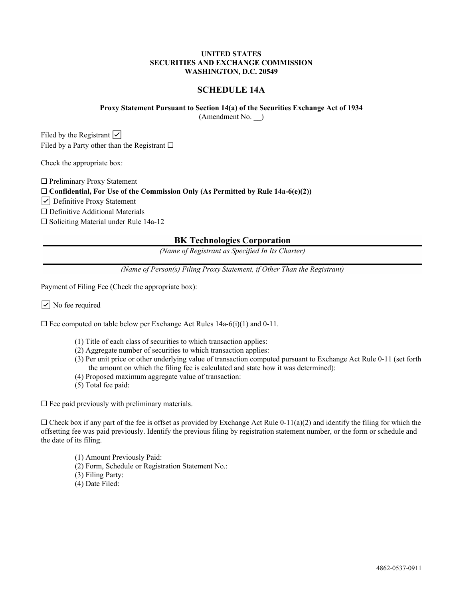## **UNITED STATES SECURITIES AND EXCHANGE COMMISSION WASHINGTON, D.C. 20549**

# **SCHEDULE 14A**

# **Proxy Statement Pursuant to Section 14(a) of the Securities Exchange Act of 1934**

(Amendment No. \_\_)

Filed by the Registrant  $\triangledown$ Filed by a Party other than the Registrant  $\square$ 

Check the appropriate box:

☐ Preliminary Proxy Statement

☐ **Confidential, For Use of the Commission Only (As Permitted by Rule 14a-6(e)(2))**

☑ Definitive Proxy Statement

☐ Definitive Additional Materials

☐ Soliciting Material under Rule 14a-12

# **BK Technologies Corporation**

*(Name of Registrant as Specified In Its Charter)*

*(Name of Person(s) Filing Proxy Statement, if Other Than the Registrant)*

Payment of Filing Fee (Check the appropriate box):

☑ No fee required

 $\Box$  Fee computed on table below per Exchange Act Rules 14a-6(i)(1) and 0-11.

- (1) Title of each class of securities to which transaction applies:
- (2) Aggregate number of securities to which transaction applies:
- (3) Per unit price or other underlying value of transaction computed pursuant to Exchange Act Rule 0-11 (set forth the amount on which the filing fee is calculated and state how it was determined):
- (4) Proposed maximum aggregate value of transaction:
- (5) Total fee paid:

 $\Box$  Fee paid previously with preliminary materials.

 $\Box$  Check box if any part of the fee is offset as provided by Exchange Act Rule 0-11(a)(2) and identify the filing for which the offsetting fee was paid previously. Identify the previous filing by registration statement number, or the form or schedule and the date of its filing.

- (1) Amount Previously Paid:
- (2) Form, Schedule or Registration Statement No.:
- (3) Filing Party:
- (4) Date Filed: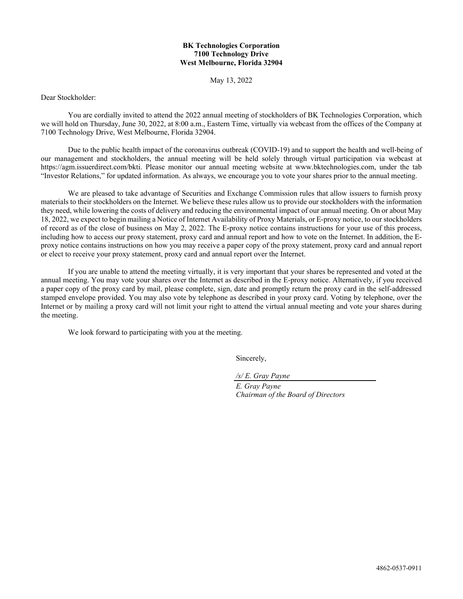# **BK Technologies Corporation 7100 Technology Drive West Melbourne, Florida 32904**

May 13, 2022

Dear Stockholder:

You are cordially invited to attend the 2022 annual meeting of stockholders of BK Technologies Corporation, which we will hold on Thursday, June 30, 2022, at 8:00 a.m., Eastern Time, virtually via webcast from the offices of the Company at 7100 Technology Drive, West Melbourne, Florida 32904.

Due to the public health impact of the coronavirus outbreak (COVID-19) and to support the health and well-being of our management and stockholders, the annual meeting will be held solely through virtual participation via webcast at https://agm.issuerdirect.com/bkti. Please monitor our annual meeting website at www.bktechnologies.com, under the tab "Investor Relations," for updated information. As always, we encourage you to vote your shares prior to the annual meeting.

We are pleased to take advantage of Securities and Exchange Commission rules that allow issuers to furnish proxy materials to their stockholders on the Internet. We believe these rules allow us to provide our stockholders with the information they need, while lowering the costs of delivery and reducing the environmental impact of our annual meeting. On or about May 18, 2022, we expect to begin mailing a Notice of Internet Availability of Proxy Materials, or E-proxy notice, to our stockholders of record as of the close of business on May 2, 2022. The E-proxy notice contains instructions for your use of this process, including how to access our proxy statement, proxy card and annual report and how to vote on the Internet. In addition, the Eproxy notice contains instructions on how you may receive a paper copy of the proxy statement, proxy card and annual report or elect to receive your proxy statement, proxy card and annual report over the Internet.

If you are unable to attend the meeting virtually, it is very important that your shares be represented and voted at the annual meeting. You may vote your shares over the Internet as described in the E-proxy notice. Alternatively, if you received a paper copy of the proxy card by mail, please complete, sign, date and promptly return the proxy card in the self-addressed stamped envelope provided. You may also vote by telephone as described in your proxy card. Voting by telephone, over the Internet or by mailing a proxy card will not limit your right to attend the virtual annual meeting and vote your shares during the meeting.

We look forward to participating with you at the meeting.

Sincerely,

*/s/ E. Gray Payne*

*E. Gray Payne Chairman of the Board of Directors*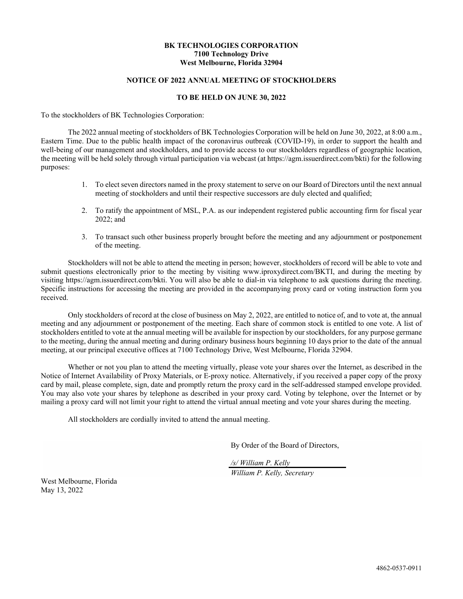# **BK TECHNOLOGIES CORPORATION 7100 Technology Drive West Melbourne, Florida 32904**

# **NOTICE OF 2022 ANNUAL MEETING OF STOCKHOLDERS**

#### **TO BE HELD ON JUNE 30, 2022**

To the stockholders of BK Technologies Corporation:

The 2022 annual meeting of stockholders of BK Technologies Corporation will be held on June 30, 2022, at 8:00 a.m., Eastern Time. Due to the public health impact of the coronavirus outbreak (COVID-19), in order to support the health and well-being of our management and stockholders, and to provide access to our stockholders regardless of geographic location, the meeting will be held solely through virtual participation via webcast (at https://agm.issuerdirect.com/bkti) for the following purposes:

- 1. To elect seven directors named in the proxy statement to serve on our Board of Directors until the next annual meeting of stockholders and until their respective successors are duly elected and qualified;
- 2. To ratify the appointment of MSL, P.A. as our independent registered public accounting firm for fiscal year 2022; and
- 3. To transact such other business properly brought before the meeting and any adjournment or postponement of the meeting.

Stockholders will not be able to attend the meeting in person; however, stockholders of record will be able to vote and submit questions electronically prior to the meeting by visiting www.iproxydirect.com/BKTI, and during the meeting by visiting https://agm.issuerdirect.com/bkti. You will also be able to dial-in via telephone to ask questions during the meeting. Specific instructions for accessing the meeting are provided in the accompanying proxy card or voting instruction form you received.

Only stockholders of record at the close of business on May 2, 2022, are entitled to notice of, and to vote at, the annual meeting and any adjournment or postponement of the meeting. Each share of common stock is entitled to one vote. A list of stockholders entitled to vote at the annual meeting will be available for inspection by our stockholders, for any purpose germane to the meeting, during the annual meeting and during ordinary business hours beginning 10 days prior to the date of the annual meeting, at our principal executive offices at 7100 Technology Drive, West Melbourne, Florida 32904.

Whether or not you plan to attend the meeting virtually, please vote your shares over the Internet, as described in the Notice of Internet Availability of Proxy Materials, or E-proxy notice. Alternatively, if you received a paper copy of the proxy card by mail, please complete, sign, date and promptly return the proxy card in the self-addressed stamped envelope provided. You may also vote your shares by telephone as described in your proxy card. Voting by telephone, over the Internet or by mailing a proxy card will not limit your right to attend the virtual annual meeting and vote your shares during the meeting.

All stockholders are cordially invited to attend the annual meeting.

By Order of the Board of Directors,

*/s/ William P. Kelly*

*William P. Kelly, Secretary*

West Melbourne, Florida May 13, 2022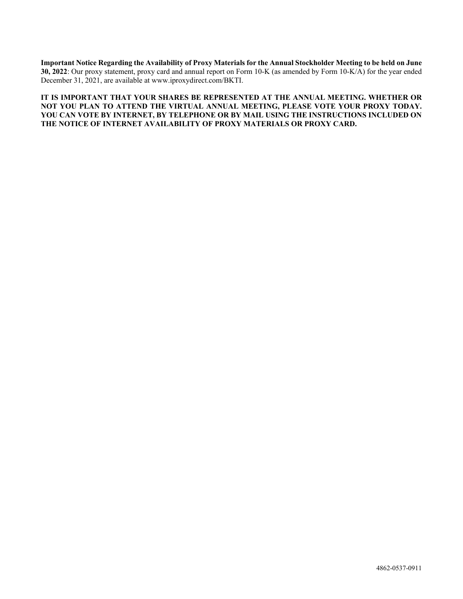**Important Notice Regarding the Availability of Proxy Materials for the Annual Stockholder Meeting to be held on June 30, 2022**: Our proxy statement, proxy card and annual report on Form 10-K (as amended by Form 10-K/A) for the year ended December 31, 2021, are available at www.iproxydirect.com/BKTI.

**IT IS IMPORTANT THAT YOUR SHARES BE REPRESENTED AT THE ANNUAL MEETING. WHETHER OR NOT YOU PLAN TO ATTEND THE VIRTUAL ANNUAL MEETING, PLEASE VOTE YOUR PROXY TODAY. YOU CAN VOTE BY INTERNET, BY TELEPHONE OR BY MAIL USING THE INSTRUCTIONS INCLUDED ON THE NOTICE OF INTERNET AVAILABILITY OF PROXY MATERIALS OR PROXY CARD.**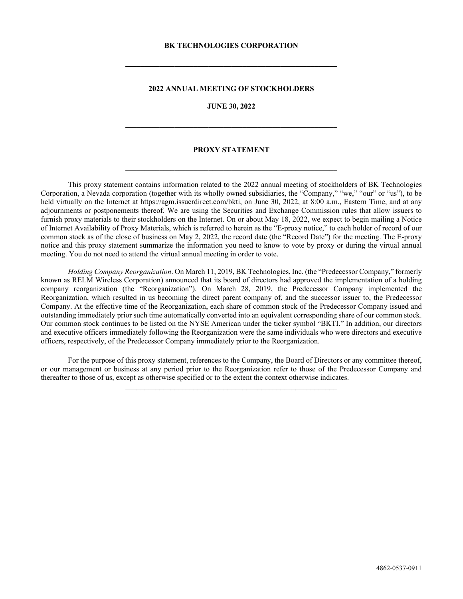#### **BK TECHNOLOGIES CORPORATION**

**\_\_\_\_\_\_\_\_\_\_\_\_\_\_\_\_\_\_\_\_\_\_\_\_\_\_\_\_\_\_\_\_\_\_\_\_\_\_\_\_\_\_\_\_\_\_\_\_\_\_\_\_\_\_\_\_**

## **2022 ANNUAL MEETING OF STOCKHOLDERS**

#### **JUNE 30, 2022**

**\_\_\_\_\_\_\_\_\_\_\_\_\_\_\_\_\_\_\_\_\_\_\_\_\_\_\_\_\_\_\_\_\_\_\_\_\_\_\_\_\_\_\_\_\_\_\_\_\_\_\_\_\_\_\_\_**

#### **PROXY STATEMENT**

**\_\_\_\_\_\_\_\_\_\_\_\_\_\_\_\_\_\_\_\_\_\_\_\_\_\_\_\_\_\_\_\_\_\_\_\_\_\_\_\_\_\_\_\_\_\_\_\_\_\_\_\_\_\_\_\_**

This proxy statement contains information related to the 2022 annual meeting of stockholders of BK Technologies Corporation, a Nevada corporation (together with its wholly owned subsidiaries, the "Company," "we," "our" or "us"), to be held virtually on the Internet at https://agm.issuerdirect.com/bkti, on June 30, 2022, at 8:00 a.m., Eastern Time, and at any adjournments or postponements thereof. We are using the Securities and Exchange Commission rules that allow issuers to furnish proxy materials to their stockholders on the Internet. On or about May 18, 2022, we expect to begin mailing a Notice of Internet Availability of Proxy Materials, which is referred to herein as the "E-proxy notice," to each holder of record of our common stock as of the close of business on May 2, 2022, the record date (the "Record Date") for the meeting. The E-proxy notice and this proxy statement summarize the information you need to know to vote by proxy or during the virtual annual meeting. You do not need to attend the virtual annual meeting in order to vote.

*Holding Company Reorganization*. On March 11, 2019, BK Technologies, Inc. (the "Predecessor Company," formerly known as RELM Wireless Corporation) announced that its board of directors had approved the implementation of a holding company reorganization (the "Reorganization"). On March 28, 2019, the Predecessor Company implemented the Reorganization, which resulted in us becoming the direct parent company of, and the successor issuer to, the Predecessor Company. At the effective time of the Reorganization, each share of common stock of the Predecessor Company issued and outstanding immediately prior such time automatically converted into an equivalent corresponding share of our common stock. Our common stock continues to be listed on the NYSE American under the ticker symbol "BKTI." In addition, our directors and executive officers immediately following the Reorganization were the same individuals who were directors and executive officers, respectively, of the Predecessor Company immediately prior to the Reorganization.

For the purpose of this proxy statement, references to the Company, the Board of Directors or any committee thereof, or our management or business at any period prior to the Reorganization refer to those of the Predecessor Company and thereafter to those of us, except as otherwise specified or to the extent the context otherwise indicates.

**\_\_\_\_\_\_\_\_\_\_\_\_\_\_\_\_\_\_\_\_\_\_\_\_\_\_\_\_\_\_\_\_\_\_\_\_\_\_\_\_\_\_\_\_\_\_\_\_\_\_\_\_\_\_\_\_**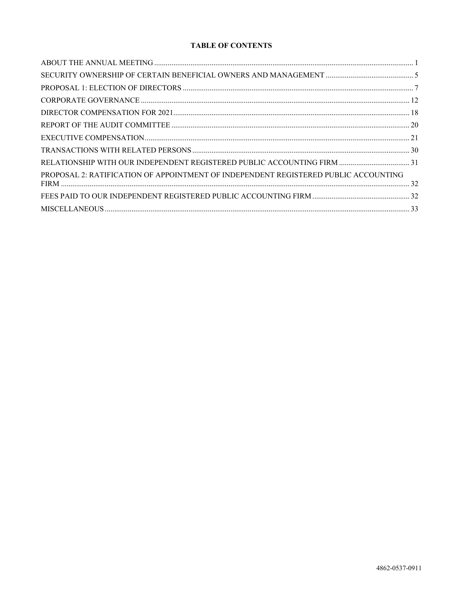# **TABLE OF CONTENTS**

| PROPOSAL 2: RATIFICATION OF APPOINTMENT OF INDEPENDENT REGISTERED PUBLIC ACCOUNTING |  |
|-------------------------------------------------------------------------------------|--|
|                                                                                     |  |
|                                                                                     |  |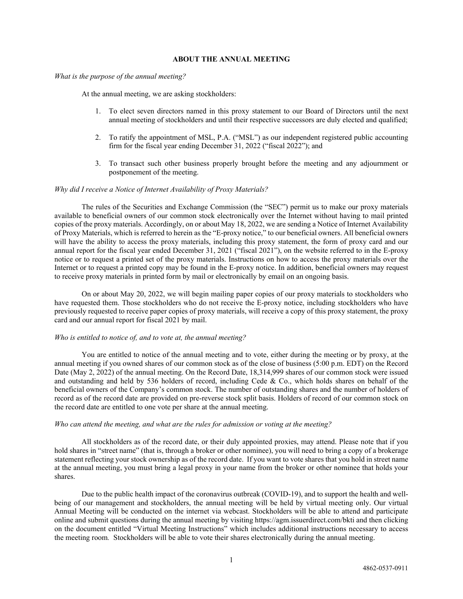### <span id="page-6-0"></span>**ABOUT THE ANNUAL MEETING**

#### *What is the purpose of the annual meeting?*

At the annual meeting, we are asking stockholders:

- 1. To elect seven directors named in this proxy statement to our Board of Directors until the next annual meeting of stockholders and until their respective successors are duly elected and qualified;
- 2. To ratify the appointment of MSL, P.A. ("MSL") as our independent registered public accounting firm for the fiscal year ending December 31, 2022 ("fiscal 2022"); and
- 3. To transact such other business properly brought before the meeting and any adjournment or postponement of the meeting.

#### *Why did I receive a Notice of Internet Availability of Proxy Materials?*

The rules of the Securities and Exchange Commission (the "SEC") permit us to make our proxy materials available to beneficial owners of our common stock electronically over the Internet without having to mail printed copies of the proxy materials. Accordingly, on or about May 18, 2022, we are sending a Notice of Internet Availability of Proxy Materials, which is referred to herein as the "E-proxy notice," to our beneficial owners. All beneficial owners will have the ability to access the proxy materials, including this proxy statement, the form of proxy card and our annual report for the fiscal year ended December 31, 2021 ("fiscal 2021"), on the website referred to in the E-proxy notice or to request a printed set of the proxy materials. Instructions on how to access the proxy materials over the Internet or to request a printed copy may be found in the E-proxy notice. In addition, beneficial owners may request to receive proxy materials in printed form by mail or electronically by email on an ongoing basis.

On or about May 20, 2022, we will begin mailing paper copies of our proxy materials to stockholders who have requested them. Those stockholders who do not receive the E-proxy notice, including stockholders who have previously requested to receive paper copies of proxy materials, will receive a copy of this proxy statement, the proxy card and our annual report for fiscal 2021 by mail.

## *Who is entitled to notice of, and to vote at, the annual meeting?*

You are entitled to notice of the annual meeting and to vote, either during the meeting or by proxy, at the annual meeting if you owned shares of our common stock as of the close of business (5:00 p.m. EDT) on the Record Date (May 2, 2022) of the annual meeting. On the Record Date, 18,314,999 shares of our common stock were issued and outstanding and held by 536 holders of record, including Cede & Co., which holds shares on behalf of the beneficial owners of the Company's common stock. The number of outstanding shares and the number of holders of record as of the record date are provided on pre-reverse stock split basis. Holders of record of our common stock on the record date are entitled to one vote per share at the annual meeting.

#### *Who can attend the meeting, and what are the rules for admission or voting at the meeting?*

All stockholders as of the record date, or their duly appointed proxies, may attend. Please note that if you hold shares in "street name" (that is, through a broker or other nominee), you will need to bring a copy of a brokerage statement reflecting your stock ownership as of the record date. If you want to vote shares that you hold in street name at the annual meeting, you must bring a legal proxy in your name from the broker or other nominee that holds your shares.

Due to the public health impact of the coronavirus outbreak (COVID-19), and to support the health and wellbeing of our management and stockholders, the annual meeting will be held by virtual meeting only. Our virtual Annual Meeting will be conducted on the internet via webcast. Stockholders will be able to attend and participate online and submit questions during the annual meeting by visiting https://agm.issuerdirect.com/bkti and then clicking on the document entitled "Virtual Meeting Instructions" which includes additional instructions necessary to access the meeting room*.* Stockholders will be able to vote their shares electronically during the annual meeting.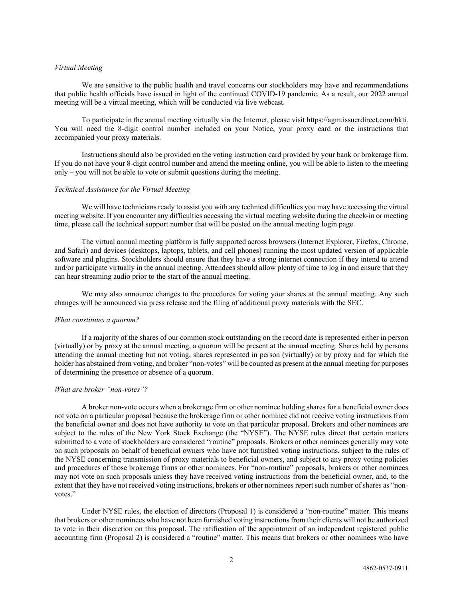#### *Virtual Meeting*

We are sensitive to the public health and travel concerns our stockholders may have and recommendations that public health officials have issued in light of the continued COVID-19 pandemic. As a result, our 2022 annual meeting will be a virtual meeting, which will be conducted via live webcast.

To participate in the annual meeting virtually via the Internet, please visit https://agm.issuerdirect.com/bkti. You will need the 8-digit control number included on your Notice, your proxy card or the instructions that accompanied your proxy materials.

Instructions should also be provided on the voting instruction card provided by your bank or brokerage firm. If you do not have your 8-digit control number and attend the meeting online, you will be able to listen to the meeting only – you will not be able to vote or submit questions during the meeting.

#### *Technical Assistance for the Virtual Meeting*

We will have technicians ready to assist you with any technical difficulties you may have accessing the virtual meeting website. If you encounter any difficulties accessing the virtual meeting website during the check-in or meeting time, please call the technical support number that will be posted on the annual meeting login page.

The virtual annual meeting platform is fully supported across browsers (Internet Explorer, Firefox, Chrome, and Safari) and devices (desktops, laptops, tablets, and cell phones) running the most updated version of applicable software and plugins. Stockholders should ensure that they have a strong internet connection if they intend to attend and/or participate virtually in the annual meeting. Attendees should allow plenty of time to log in and ensure that they can hear streaming audio prior to the start of the annual meeting.

We may also announce changes to the procedures for voting your shares at the annual meeting. Any such changes will be announced via press release and the filing of additional proxy materials with the SEC.

#### *What constitutes a quorum?*

If a majority of the shares of our common stock outstanding on the record date is represented either in person (virtually) or by proxy at the annual meeting, a quorum will be present at the annual meeting. Shares held by persons attending the annual meeting but not voting, shares represented in person (virtually) or by proxy and for which the holder has abstained from voting, and broker "non-votes" will be counted as present at the annual meeting for purposes of determining the presence or absence of a quorum.

#### *What are broker "non-votes"?*

A broker non-vote occurs when a brokerage firm or other nominee holding shares for a beneficial owner does not vote on a particular proposal because the brokerage firm or other nominee did not receive voting instructions from the beneficial owner and does not have authority to vote on that particular proposal. Brokers and other nominees are subject to the rules of the New York Stock Exchange (the "NYSE"). The NYSE rules direct that certain matters submitted to a vote of stockholders are considered "routine" proposals. Brokers or other nominees generally may vote on such proposals on behalf of beneficial owners who have not furnished voting instructions, subject to the rules of the NYSE concerning transmission of proxy materials to beneficial owners, and subject to any proxy voting policies and procedures of those brokerage firms or other nominees. For "non-routine" proposals, brokers or other nominees may not vote on such proposals unless they have received voting instructions from the beneficial owner, and, to the extent that they have not received voting instructions, brokers or other nominees report such number of shares as "nonvotes."

Under NYSE rules, the election of directors (Proposal 1) is considered a "non-routine" matter. This means that brokers or other nominees who have not been furnished voting instructions from their clients will not be authorized to vote in their discretion on this proposal. The ratification of the appointment of an independent registered public accounting firm (Proposal 2) is considered a "routine" matter. This means that brokers or other nominees who have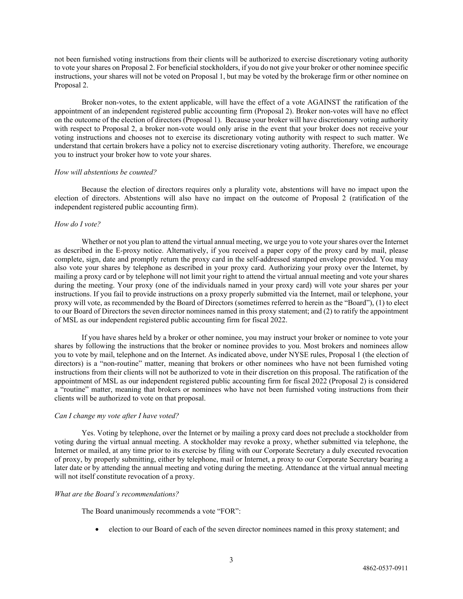not been furnished voting instructions from their clients will be authorized to exercise discretionary voting authority to vote your shares on Proposal 2. For beneficial stockholders, if you do not give your broker or other nominee specific instructions, your shares will not be voted on Proposal 1, but may be voted by the brokerage firm or other nominee on Proposal 2.

Broker non-votes, to the extent applicable, will have the effect of a vote AGAINST the ratification of the appointment of an independent registered public accounting firm (Proposal 2). Broker non-votes will have no effect on the outcome of the election of directors (Proposal 1). Because your broker will have discretionary voting authority with respect to Proposal 2, a broker non-vote would only arise in the event that your broker does not receive your voting instructions and chooses not to exercise its discretionary voting authority with respect to such matter. We understand that certain brokers have a policy not to exercise discretionary voting authority. Therefore, we encourage you to instruct your broker how to vote your shares.

#### *How will abstentions be counted?*

Because the election of directors requires only a plurality vote, abstentions will have no impact upon the election of directors. Abstentions will also have no impact on the outcome of Proposal 2 (ratification of the independent registered public accounting firm).

#### *How do I vote?*

Whether or not you plan to attend the virtual annual meeting, we urge you to vote your shares over the Internet as described in the E-proxy notice. Alternatively, if you received a paper copy of the proxy card by mail, please complete, sign, date and promptly return the proxy card in the self-addressed stamped envelope provided. You may also vote your shares by telephone as described in your proxy card. Authorizing your proxy over the Internet, by mailing a proxy card or by telephone will not limit your right to attend the virtual annual meeting and vote your shares during the meeting. Your proxy (one of the individuals named in your proxy card) will vote your shares per your instructions. If you fail to provide instructions on a proxy properly submitted via the Internet, mail or telephone, your proxy will vote, as recommended by the Board of Directors (sometimes referred to herein as the "Board"), (1) to elect to our Board of Directors the seven director nominees named in this proxy statement; and (2) to ratify the appointment of MSL as our independent registered public accounting firm for fiscal 2022.

If you have shares held by a broker or other nominee, you may instruct your broker or nominee to vote your shares by following the instructions that the broker or nominee provides to you. Most brokers and nominees allow you to vote by mail, telephone and on the Internet. As indicated above, under NYSE rules, Proposal 1 (the election of directors) is a "non-routine" matter, meaning that brokers or other nominees who have not been furnished voting instructions from their clients will not be authorized to vote in their discretion on this proposal. The ratification of the appointment of MSL as our independent registered public accounting firm for fiscal 2022 (Proposal 2) is considered a "routine" matter, meaning that brokers or nominees who have not been furnished voting instructions from their clients will be authorized to vote on that proposal.

#### *Can I change my vote after I have voted?*

Yes. Voting by telephone, over the Internet or by mailing a proxy card does not preclude a stockholder from voting during the virtual annual meeting. A stockholder may revoke a proxy, whether submitted via telephone, the Internet or mailed, at any time prior to its exercise by filing with our Corporate Secretary a duly executed revocation of proxy, by properly submitting, either by telephone, mail or Internet, a proxy to our Corporate Secretary bearing a later date or by attending the annual meeting and voting during the meeting. Attendance at the virtual annual meeting will not itself constitute revocation of a proxy.

#### *What are the Board's recommendations?*

The Board unanimously recommends a vote "FOR":

• election to our Board of each of the seven director nominees named in this proxy statement; and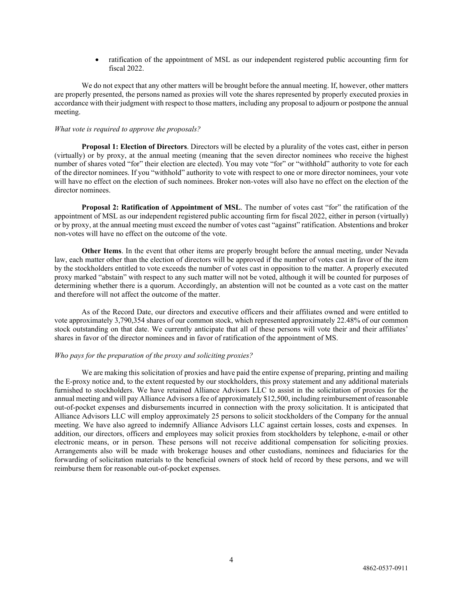• ratification of the appointment of MSL as our independent registered public accounting firm for fiscal 2022.

We do not expect that any other matters will be brought before the annual meeting. If, however, other matters are properly presented, the persons named as proxies will vote the shares represented by properly executed proxies in accordance with their judgment with respect to those matters, including any proposal to adjourn or postpone the annual meeting.

#### *What vote is required to approve the proposals?*

**Proposal 1: Election of Directors**. Directors will be elected by a plurality of the votes cast, either in person (virtually) or by proxy, at the annual meeting (meaning that the seven director nominees who receive the highest number of shares voted "for" their election are elected). You may vote "for" or "withhold" authority to vote for each of the director nominees. If you "withhold" authority to vote with respect to one or more director nominees, your vote will have no effect on the election of such nominees. Broker non-votes will also have no effect on the election of the director nominees.

**Proposal 2: Ratification of Appointment of MSL**. The number of votes cast "for" the ratification of the appointment of MSL as our independent registered public accounting firm for fiscal 2022, either in person (virtually) or by proxy, at the annual meeting must exceed the number of votes cast "against" ratification. Abstentions and broker non-votes will have no effect on the outcome of the vote.

**Other Items**. In the event that other items are properly brought before the annual meeting, under Nevada law, each matter other than the election of directors will be approved if the number of votes cast in favor of the item by the stockholders entitled to vote exceeds the number of votes cast in opposition to the matter. A properly executed proxy marked "abstain" with respect to any such matter will not be voted, although it will be counted for purposes of determining whether there is a quorum. Accordingly, an abstention will not be counted as a vote cast on the matter and therefore will not affect the outcome of the matter.

As of the Record Date, our directors and executive officers and their affiliates owned and were entitled to vote approximately 3,790,354 shares of our common stock, which represented approximately 22.48% of our common stock outstanding on that date. We currently anticipate that all of these persons will vote their and their affiliates' shares in favor of the director nominees and in favor of ratification of the appointment of MS.

#### *Who pays for the preparation of the proxy and soliciting proxies?*

We are making this solicitation of proxies and have paid the entire expense of preparing, printing and mailing the E-proxy notice and, to the extent requested by our stockholders, this proxy statement and any additional materials furnished to stockholders. We have retained Alliance Advisors LLC to assist in the solicitation of proxies for the annual meeting and will pay Alliance Advisors a fee of approximately \$12,500, including reimbursement of reasonable out-of-pocket expenses and disbursements incurred in connection with the proxy solicitation. It is anticipated that Alliance Advisors LLC will employ approximately 25 persons to solicit stockholders of the Company for the annual meeting. We have also agreed to indemnify Alliance Advisors LLC against certain losses, costs and expenses. In addition, our directors, officers and employees may solicit proxies from stockholders by telephone, e-mail or other electronic means, or in person. These persons will not receive additional compensation for soliciting proxies. Arrangements also will be made with brokerage houses and other custodians, nominees and fiduciaries for the forwarding of solicitation materials to the beneficial owners of stock held of record by these persons, and we will reimburse them for reasonable out-of-pocket expenses.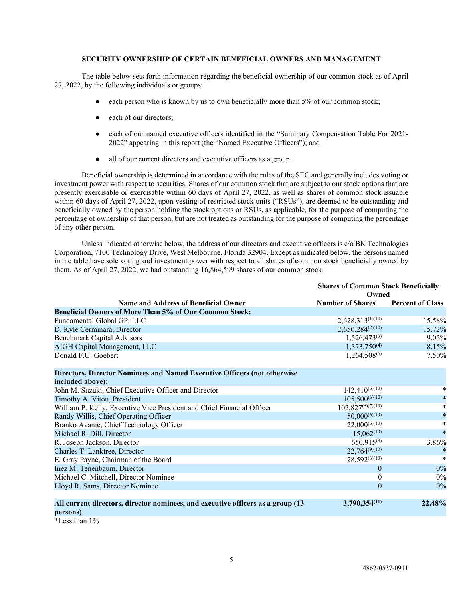# <span id="page-10-0"></span>**SECURITY OWNERSHIP OF CERTAIN BENEFICIAL OWNERS AND MANAGEMENT**

The table below sets forth information regarding the beneficial ownership of our common stock as of April 27, 2022, by the following individuals or groups:

- each person who is known by us to own beneficially more than 5% of our common stock;
- each of our directors:
- each of our named executive officers identified in the "Summary Compensation Table For 2021-2022" appearing in this report (the "Named Executive Officers"); and
- all of our current directors and executive officers as a group.

Beneficial ownership is determined in accordance with the rules of the SEC and generally includes voting or investment power with respect to securities. Shares of our common stock that are subject to our stock options that are presently exercisable or exercisable within 60 days of April 27, 2022, as well as shares of common stock issuable within 60 days of April 27, 2022, upon vesting of restricted stock units ("RSUs"), are deemed to be outstanding and beneficially owned by the person holding the stock options or RSUs, as applicable, for the purpose of computing the percentage of ownership of that person, but are not treated as outstanding for the purpose of computing the percentage of any other person.

Unless indicated otherwise below, the address of our directors and executive officers is c/o BK Technologies Corporation, 7100 Technology Drive, West Melbourne, Florida 32904. Except as indicated below, the persons named in the table have sole voting and investment power with respect to all shares of common stock beneficially owned by them. As of April 27, 2022, we had outstanding 16,864,599 shares of our common stock.

|                                                                                              | <b>Shares of Common Stock Beneficially</b><br>Owned |                         |
|----------------------------------------------------------------------------------------------|-----------------------------------------------------|-------------------------|
| <b>Name and Address of Beneficial Owner</b>                                                  | <b>Number of Shares</b>                             | <b>Percent of Class</b> |
| <b>Beneficial Owners of More Than 5% of Our Common Stock:</b>                                |                                                     |                         |
| Fundamental Global GP, LLC                                                                   | $2,628,313^{(1)(10)}$                               | 15.58%                  |
| D. Kyle Cerminara, Director                                                                  | $2,650,284^{(2)(10)}$                               | 15.72%                  |
| <b>Benchmark Capital Advisors</b>                                                            | $1,526,473^{(3)}$                                   | 9.05%                   |
| AIGH Capital Management, LLC                                                                 | $1,373,750^{(4)}$                                   | 8.15%                   |
| Donald F.U. Goebert                                                                          | $1,264,508^{(5)}$                                   | 7.50%                   |
| Directors, Director Nominees and Named Executive Officers (not otherwise<br>included above): |                                                     |                         |
| John M. Suzuki, Chief Executive Officer and Director                                         | $142,410^{(6)(10)}$                                 | *                       |
| Timothy A. Vitou, President                                                                  | $105,500^{(6)(10)}$                                 | $\ast$                  |
| William P. Kelly, Executive Vice President and Chief Financial Officer                       | $102,827^{(6)(7)(10)}$                              | $\ast$                  |
| Randy Willis, Chief Operating Officer                                                        | $50,000^{(6)(10)}$                                  | $\ast$                  |
| Branko Avanic, Chief Technology Officer                                                      | $22,000^{(6)(10)}$                                  | *                       |
| Michael R. Dill, Director                                                                    | $15,062^{(10)}$                                     | $\ast$                  |
| R. Joseph Jackson, Director                                                                  | 650,915 $(8)$                                       | 3.86%                   |
| Charles T. Lanktree, Director                                                                | $22,764^{(9)(10)}$                                  | $\ast$                  |
| E. Gray Payne, Chairman of the Board                                                         | 28,592(6)(10)                                       | $\ast$                  |
| Inez M. Tenenbaum, Director                                                                  | $\overline{0}$                                      | 0%                      |
| Michael C. Mitchell, Director Nominee                                                        | $\theta$                                            | $0\%$                   |
| Lloyd R. Sams, Director Nominee                                                              | $\theta$                                            | $0\%$                   |
| All current directors, director nominees, and executive officers as a group (13<br>persons)  | $3,790,354^{(11)}$                                  | 22.48%                  |

\*Less than 1%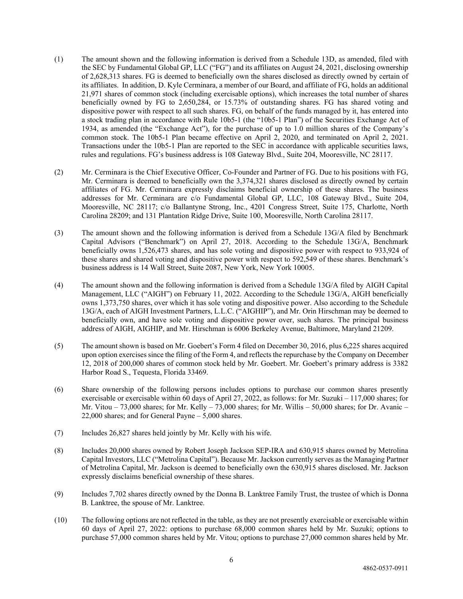- (1) The amount shown and the following information is derived from a Schedule 13D, as amended, filed with the SEC by Fundamental Global GP, LLC ("FG") and its affiliates on August 24, 2021, disclosing ownership of 2,628,313 shares. FG is deemed to beneficially own the shares disclosed as directly owned by certain of its affiliates. In addition, D. Kyle Cerminara, a member of our Board, and affiliate of FG, holds an additional 21,971 shares of common stock (including exercisable options), which increases the total number of shares beneficially owned by FG to 2,650,284, or 15.73% of outstanding shares. FG has shared voting and dispositive power with respect to all such shares. FG, on behalf of the funds managed by it, has entered into a stock trading plan in accordance with Rule 10b5-1 (the "10b5-1 Plan") of the Securities Exchange Act of 1934, as amended (the "Exchange Act"), for the purchase of up to 1.0 million shares of the Company's common stock. The 10b5-1 Plan became effective on April 2, 2020, and terminated on April 2, 2021. Transactions under the 10b5-1 Plan are reported to the SEC in accordance with applicable securities laws, rules and regulations. FG's business address is 108 Gateway Blvd., Suite 204, Mooresville, NC 28117.
- (2) Mr. Cerminara is the Chief Executive Officer, Co-Founder and Partner of FG. Due to his positions with FG, Mr. Cerminara is deemed to beneficially own the 3,374,321 shares disclosed as directly owned by certain affiliates of FG. Mr. Cerminara expressly disclaims beneficial ownership of these shares. The business addresses for Mr. Cerminara are c/o Fundamental Global GP, LLC, 108 Gateway Blvd., Suite 204, Mooresville, NC 28117; c/o Ballantyne Strong, Inc., 4201 Congress Street, Suite 175, Charlotte, North Carolina 28209; and 131 Plantation Ridge Drive, Suite 100, Mooresville, North Carolina 28117.
- (3) The amount shown and the following information is derived from a Schedule 13G/A filed by Benchmark Capital Advisors ("Benchmark") on April 27, 2018. According to the Schedule 13G/A, Benchmark beneficially owns 1,526,473 shares, and has sole voting and dispositive power with respect to 933,924 of these shares and shared voting and dispositive power with respect to 592,549 of these shares. Benchmark's business address is 14 Wall Street, Suite 2087, New York, New York 10005.
- (4) The amount shown and the following information is derived from a Schedule 13G/A filed by AIGH Capital Management, LLC ("AIGH") on February 11, 2022. According to the Schedule 13G/A, AIGH beneficially owns 1,373,750 shares, over which it has sole voting and dispositive power. Also according to the Schedule 13G/A, each of AIGH Investment Partners, L.L.C. ("AIGHIP"), and Mr. Orin Hirschman may be deemed to beneficially own, and have sole voting and dispositive power over, such shares. The principal business address of AIGH, AIGHIP, and Mr. Hirschman is 6006 Berkeley Avenue, Baltimore, Maryland 21209.
- (5) The amount shown is based on Mr. Goebert's Form 4 filed on December 30, 2016, plus 6,225 shares acquired upon option exercises since the filing of the Form 4, and reflects the repurchase by the Company on December 12, 2018 of 200,000 shares of common stock held by Mr. Goebert. Mr. Goebert's primary address is 3382 Harbor Road S., Tequesta, Florida 33469.
- (6) Share ownership of the following persons includes options to purchase our common shares presently exercisable or exercisable within 60 days of April 27, 2022, as follows: for Mr. Suzuki – 117,000 shares; for Mr. Vitou  $-73,000$  shares; for Mr. Kelly  $-73,000$  shares; for Mr. Willis  $-50,000$  shares; for Dr. Avanic  $-$ 22,000 shares; and for General Payne – 5,000 shares.
- (7) Includes 26,827 shares held jointly by Mr. Kelly with his wife.
- (8) Includes 20,000 shares owned by Robert Joseph Jackson SEP-IRA and 630,915 shares owned by Metrolina Capital Investors, LLC ("Metrolina Capital"). Because Mr. Jackson currently serves as the Managing Partner of Metrolina Capital, Mr. Jackson is deemed to beneficially own the 630,915 shares disclosed. Mr. Jackson expressly disclaims beneficial ownership of these shares.
- (9) Includes 7,702 shares directly owned by the Donna B. Lanktree Family Trust, the trustee of which is Donna B. Lanktree, the spouse of Mr. Lanktree.
- (10) The following options are not reflected in the table, as they are not presently exercisable or exercisable within 60 days of April 27, 2022: options to purchase 68,000 common shares held by Mr. Suzuki; options to purchase 57,000 common shares held by Mr. Vitou; options to purchase 27,000 common shares held by Mr.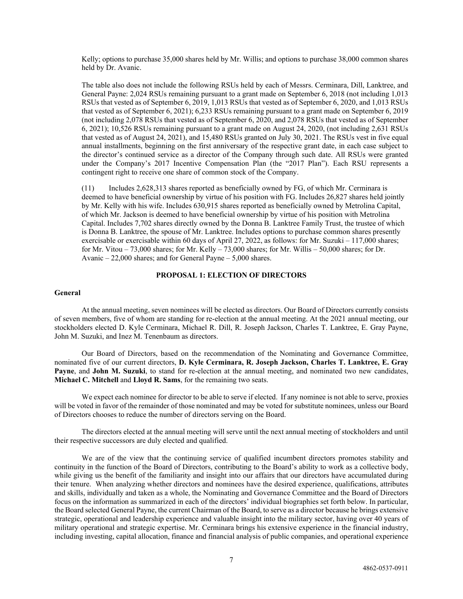Kelly; options to purchase 35,000 shares held by Mr. Willis; and options to purchase 38,000 common shares held by Dr. Avanic.

The table also does not include the following RSUs held by each of Messrs. Cerminara, Dill, Lanktree, and General Payne: 2,024 RSUs remaining pursuant to a grant made on September 6, 2018 (not including 1,013 RSUs that vested as of September 6, 2019, 1,013 RSUs that vested as of September 6, 2020, and 1,013 RSUs that vested as of September 6, 2021); 6,233 RSUs remaining pursuant to a grant made on September 6, 2019 (not including 2,078 RSUs that vested as of September 6, 2020, and 2,078 RSUs that vested as of September 6, 2021); 10,526 RSUs remaining pursuant to a grant made on August 24, 2020, (not including 2,631 RSUs that vested as of August 24, 2021), and 15,480 RSUs granted on July 30, 2021. The RSUs vest in five equal annual installments, beginning on the first anniversary of the respective grant date, in each case subject to the director's continued service as a director of the Company through such date. All RSUs were granted under the Company's 2017 Incentive Compensation Plan (the "2017 Plan"). Each RSU represents a contingent right to receive one share of common stock of the Company.

(11) Includes 2,628,313 shares reported as beneficially owned by FG, of which Mr. Cerminara is deemed to have beneficial ownership by virtue of his position with FG. Includes 26,827 shares held jointly by Mr. Kelly with his wife. Includes 630,915 shares reported as beneficially owned by Metrolina Capital, of which Mr. Jackson is deemed to have beneficial ownership by virtue of his position with Metrolina Capital. Includes 7,702 shares directly owned by the Donna B. Lanktree Family Trust, the trustee of which is Donna B. Lanktree, the spouse of Mr. Lanktree. Includes options to purchase common shares presently exercisable or exercisable within 60 days of April 27, 2022, as follows: for Mr. Suzuki – 117,000 shares; for Mr. Vitou – 73,000 shares; for Mr. Kelly – 73,000 shares; for Mr. Willis – 50,000 shares; for Dr. Avanic – 22,000 shares; and for General Payne – 5,000 shares.

## <span id="page-12-0"></span>**PROPOSAL 1: ELECTION OF DIRECTORS**

#### **General**

At the annual meeting, seven nominees will be elected as directors. Our Board of Directors currently consists of seven members, five of whom are standing for re-election at the annual meeting. At the 2021 annual meeting, our stockholders elected D. Kyle Cerminara, Michael R. Dill, R. Joseph Jackson, Charles T. Lanktree, E. Gray Payne, John M. Suzuki, and Inez M. Tenenbaum as directors.

Our Board of Directors, based on the recommendation of the Nominating and Governance Committee, nominated five of our current directors, **D. Kyle Cerminara, R. Joseph Jackson, Charles T. Lanktree, E. Gray Payne**, and **John M. Suzuki**, to stand for re-election at the annual meeting, and nominated two new candidates, **Michael C. Mitchell** and **Lloyd R. Sams**, for the remaining two seats.

We expect each nominee for director to be able to serve if elected. If any nominee is not able to serve, proxies will be voted in favor of the remainder of those nominated and may be voted for substitute nominees, unless our Board of Directors chooses to reduce the number of directors serving on the Board.

The directors elected at the annual meeting will serve until the next annual meeting of stockholders and until their respective successors are duly elected and qualified.

We are of the view that the continuing service of qualified incumbent directors promotes stability and continuity in the function of the Board of Directors, contributing to the Board's ability to work as a collective body, while giving us the benefit of the familiarity and insight into our affairs that our directors have accumulated during their tenure. When analyzing whether directors and nominees have the desired experience, qualifications, attributes and skills, individually and taken as a whole, the Nominating and Governance Committee and the Board of Directors focus on the information as summarized in each of the directors' individual biographies set forth below. In particular, the Board selected General Payne, the current Chairman of the Board, to serve as a director because he brings extensive strategic, operational and leadership experience and valuable insight into the military sector, having over 40 years of military operational and strategic expertise. Mr. Cerminara brings his extensive experience in the financial industry, including investing, capital allocation, finance and financial analysis of public companies, and operational experience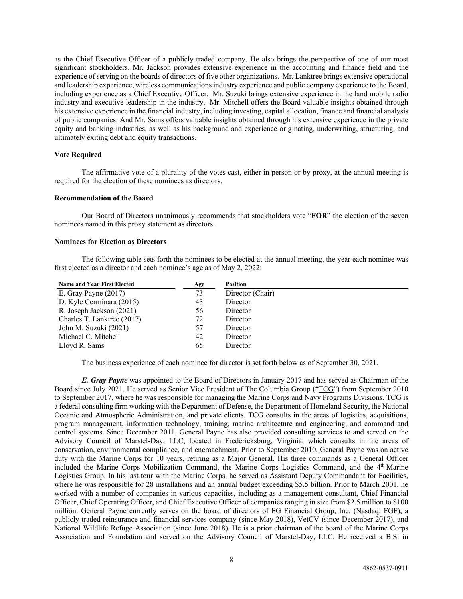as the Chief Executive Officer of a publicly-traded company. He also brings the perspective of one of our most significant stockholders. Mr. Jackson provides extensive experience in the accounting and finance field and the experience of serving on the boards of directors of five other organizations. Mr. Lanktree brings extensive operational and leadership experience, wireless communications industry experience and public company experience to the Board, including experience as a Chief Executive Officer. Mr. Suzuki brings extensive experience in the land mobile radio industry and executive leadership in the industry. Mr. Mitchell offers the Board valuable insights obtained through his extensive experience in the financial industry, including investing, capital allocation, finance and financial analysis of public companies. And Mr. Sams offers valuable insights obtained through his extensive experience in the private equity and banking industries, as well as his background and experience originating, underwriting, structuring, and ultimately exiting debt and equity transactions.

## **Vote Required**

The affirmative vote of a plurality of the votes cast, either in person or by proxy, at the annual meeting is required for the election of these nominees as directors.

#### **Recommendation of the Board**

Our Board of Directors unanimously recommends that stockholders vote "**FOR**" the election of the seven nominees named in this proxy statement as directors.

#### **Nominees for Election as Directors**

The following table sets forth the nominees to be elected at the annual meeting, the year each nominee was first elected as a director and each nominee's age as of May 2, 2022:

| <b>Name and Year First Elected</b> | Age | <b>Position</b>  |
|------------------------------------|-----|------------------|
| E. Gray Payne $(2017)$             | 73  | Director (Chair) |
| D. Kyle Cerminara (2015)           | 43  | Director         |
| R. Joseph Jackson (2021)           | 56  | Director         |
| Charles T. Lanktree (2017)         | 72  | Director         |
| John M. Suzuki (2021)              | 57  | Director         |
| Michael C. Mitchell                | 42  | Director         |
| Lloyd R. Sams                      | 65  | Director         |

The business experience of each nominee for director is set forth below as of September 30, 2021.

*E. Gray Payne* was appointed to the Board of Directors in January 2017 and has served as Chairman of the Board since July 2021. He served as Senior Vice President of The Columbia Group ("TCG") from September 2010 to September 2017, where he was responsible for managing the Marine Corps and Navy Programs Divisions. TCG is a federal consulting firm working with the Department of Defense, the Department of Homeland Security, the National Oceanic and Atmospheric Administration, and private clients. TCG consults in the areas of logistics, acquisitions, program management, information technology, training, marine architecture and engineering, and command and control systems. Since December 2011, General Payne has also provided consulting services to and served on the Advisory Council of Marstel-Day, LLC, located in Fredericksburg, Virginia, which consults in the areas of conservation, environmental compliance, and encroachment. Prior to September 2010, General Payne was on active duty with the Marine Corps for 10 years, retiring as a Major General. His three commands as a General Officer included the Marine Corps Mobilization Command, the Marine Corps Logistics Command, and the 4<sup>th</sup> Marine Logistics Group. In his last tour with the Marine Corps, he served as Assistant Deputy Commandant for Facilities, where he was responsible for 28 installations and an annual budget exceeding \$5.5 billion. Prior to March 2001, he worked with a number of companies in various capacities, including as a management consultant, Chief Financial Officer, Chief Operating Officer, and Chief Executive Officer of companies ranging in size from \$2.5 million to \$100 million. General Payne currently serves on the board of directors of FG Financial Group, Inc. (Nasdaq: FGF), a publicly traded reinsurance and financial services company (since May 2018), VetCV (since December 2017), and National Wildlife Refuge Association (since June 2018). He is a prior chairman of the board of the Marine Corps Association and Foundation and served on the Advisory Council of Marstel-Day, LLC. He received a B.S. in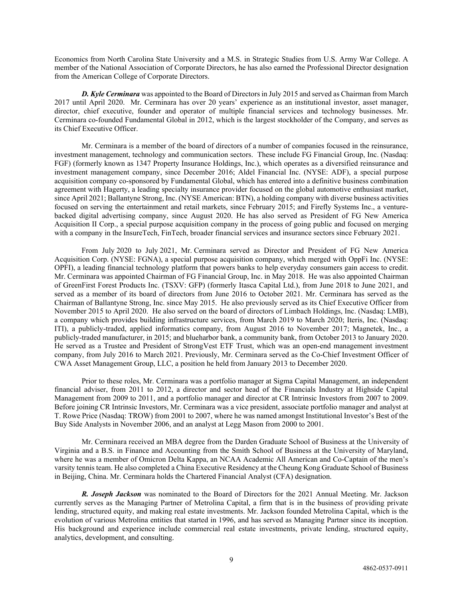Economics from North Carolina State University and a M.S. in Strategic Studies from U.S. Army War College. A member of the National Association of Corporate Directors, he has also earned the Professional Director designation from the American College of Corporate Directors.

*D. Kyle Cerminara* was appointed to the Board of Directors in July 2015 and served as Chairman from March 2017 until April 2020. Mr. Cerminara has over 20 years' experience as an institutional investor, asset manager, director, chief executive, founder and operator of multiple financial services and technology businesses. Mr. Cerminara co-founded Fundamental Global in 2012, which is the largest stockholder of the Company, and serves as its Chief Executive Officer.

Mr. Cerminara is a member of the board of directors of a number of companies focused in the reinsurance, investment management, technology and communication sectors. These include FG Financial Group, Inc. (Nasdaq: FGF) (formerly known as 1347 Property Insurance Holdings, Inc.), which operates as a diversified reinsurance and investment management company, since December 2016; Aldel Financial Inc. (NYSE: ADF), a special purpose acquisition company co-sponsored by Fundamental Global, which has entered into a definitive business combination agreement with Hagerty, a leading specialty insurance provider focused on the global automotive enthusiast market, since April 2021; Ballantyne Strong, Inc. (NYSE American: BTN), a holding company with diverse business activities focused on serving the entertainment and retail markets, since February 2015; and Firefly Systems Inc., a venturebacked digital advertising company, since August 2020. He has also served as President of FG New America Acquisition II Corp., a special purpose acquisition company in the process of going public and focused on merging with a company in the InsureTech, FinTech, broader financial services and insurance sectors since February 2021.

From July 2020 to July 2021, Mr. Cerminara served as Director and President of FG New America Acquisition Corp. (NYSE: FGNA), a special purpose acquisition company, which merged with OppFi Inc. (NYSE: OPFI), a leading financial technology platform that powers banks to help everyday consumers gain access to credit. Mr. Cerminara was appointed Chairman of FG Financial Group, Inc. in May 2018. He was also appointed Chairman of GreenFirst Forest Products Inc. (TSXV: GFP) (formerly Itasca Capital Ltd.), from June 2018 to June 2021, and served as a member of its board of directors from June 2016 to October 2021. Mr. Cerminara has served as the Chairman of Ballantyne Strong, Inc. since May 2015. He also previously served as its Chief Executive Officer from November 2015 to April 2020. He also served on the board of directors of Limbach Holdings, Inc. (Nasdaq: LMB), a company which provides building infrastructure services, from March 2019 to March 2020; Iteris, Inc. (Nasdaq: ITI), a publicly-traded, applied informatics company, from August 2016 to November 2017; Magnetek, Inc., a publicly-traded manufacturer, in 2015; and blueharbor bank, a community bank, from October 2013 to January 2020. He served as a Trustee and President of StrongVest ETF Trust, which was an open-end management investment company, from July 2016 to March 2021. Previously, Mr. Cerminara served as the Co-Chief Investment Officer of CWA Asset Management Group, LLC, a position he held from January 2013 to December 2020.

Prior to these roles, Mr. Cerminara was a portfolio manager at Sigma Capital Management, an independent financial adviser, from 2011 to 2012, a director and sector head of the Financials Industry at Highside Capital Management from 2009 to 2011, and a portfolio manager and director at CR Intrinsic Investors from 2007 to 2009. Before joining CR Intrinsic Investors, Mr. Cerminara was a vice president, associate portfolio manager and analyst at T. Rowe Price (Nasdaq: TROW) from 2001 to 2007, where he was named amongst Institutional Investor's Best of the Buy Side Analysts in November 2006, and an analyst at Legg Mason from 2000 to 2001.

Mr. Cerminara received an MBA degree from the Darden Graduate School of Business at the University of Virginia and a B.S. in Finance and Accounting from the Smith School of Business at the University of Maryland, where he was a member of Omicron Delta Kappa, an NCAA Academic All American and Co-Captain of the men's varsity tennis team. He also completed a China Executive Residency at the Cheung Kong Graduate School of Business in Beijing, China. Mr. Cerminara holds the Chartered Financial Analyst (CFA) designation.

*R. Joseph Jackson* was nominated to the Board of Directors for the 2021 Annual Meeting. Mr. Jackson currently serves as the Managing Partner of Metrolina Capital, a firm that is in the business of providing private lending, structured equity, and making real estate investments. Mr. Jackson founded Metrolina Capital, which is the evolution of various Metrolina entities that started in 1996, and has served as Managing Partner since its inception. His background and experience include commercial real estate investments, private lending, structured equity, analytics, development, and consulting.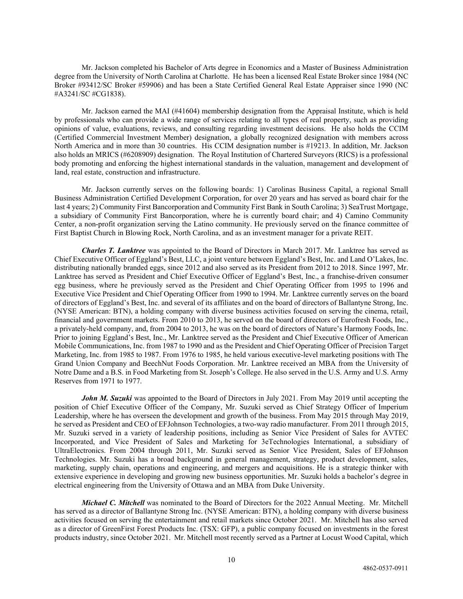Mr. Jackson completed his Bachelor of Arts degree in Economics and a Master of Business Administration degree from the University of North Carolina at Charlotte. He has been a licensed Real Estate Broker since 1984 (NC Broker #93412/SC Broker #59906) and has been a State Certified General Real Estate Appraiser since 1990 (NC #A3241/SC #CG1838).

Mr. Jackson earned the MAI (#41604) membership designation from the Appraisal Institute, which is held by professionals who can provide a wide range of services relating to all types of real property, such as providing opinions of value, evaluations, reviews, and consulting regarding investment decisions. He also holds the CCIM (Certified Commercial Investment Member) designation, a globally recognized designation with members across North America and in more than 30 countries. His CCIM designation number is #19213. In addition, Mr. Jackson also holds an MRICS (#6208909) designation. The Royal Institution of Chartered Surveyors (RICS) is a professional body promoting and enforcing the highest international standards in the valuation, management and development of land, real estate, construction and infrastructure.

Mr. Jackson currently serves on the following boards: 1) Carolinas Business Capital, a regional Small Business Administration Certified Development Corporation, for over 20 years and has served as board chair for the last 4 years; 2) Community First Bancorporation and Community First Bank in South Carolina; 3) SeaTrust Mortgage, a subsidiary of Community First Bancorporation, where he is currently board chair; and 4) Camino Community Center, a non-profit organization serving the Latino community. He previously served on the finance committee of First Baptist Church in Blowing Rock, North Carolina, and as an investment manager for a private REIT.

*Charles T. Lanktree* was appointed to the Board of Directors in March 2017. Mr. Lanktree has served as Chief Executive Officer of Eggland's Best, LLC, a joint venture between Eggland's Best, Inc. and Land O'Lakes, Inc. distributing nationally branded eggs, since 2012 and also served as its President from 2012 to 2018. Since 1997, Mr. Lanktree has served as President and Chief Executive Officer of Eggland's Best, Inc., a franchise-driven consumer egg business, where he previously served as the President and Chief Operating Officer from 1995 to 1996 and Executive Vice President and Chief Operating Officer from 1990 to 1994. Mr. Lanktree currently serves on the board of directors of Eggland's Best, Inc. and several of its affiliates and on the board of directors of Ballantyne Strong, Inc. (NYSE American: BTN), a holding company with diverse business activities focused on serving the cinema, retail, financial and government markets. From 2010 to 2013, he served on the board of directors of Eurofresh Foods, Inc., a privately-held company, and, from 2004 to 2013, he was on the board of directors of Nature's Harmony Foods, Inc. Prior to joining Eggland's Best, Inc., Mr. Lanktree served as the President and Chief Executive Officer of American Mobile Communications, Inc. from 1987 to 1990 and as the President and Chief Operating Officer of Precision Target Marketing, Inc. from 1985 to 1987. From 1976 to 1985, he held various executive-level marketing positions with The Grand Union Company and BeechNut Foods Corporation. Mr. Lanktree received an MBA from the University of Notre Dame and a B.S. in Food Marketing from St. Joseph's College. He also served in the U.S. Army and U.S. Army Reserves from 1971 to 1977.

*John M. Suzuki* was appointed to the Board of Directors in July 2021. From May 2019 until accepting the position of Chief Executive Officer of the Company, Mr. Suzuki served as Chief Strategy Officer of Imperium Leadership, where he has overseen the development and growth of the business. From May 2015 through May 2019, he served as President and CEO of EFJohnson Technologies, a two-way radio manufacturer. From 2011 through 2015, Mr. Suzuki served in a variety of leadership positions, including as Senior Vice President of Sales for AVTEC Incorporated, and Vice President of Sales and Marketing for 3eTechnologies International, a subsidiary of UltraElectronics. From 2004 through 2011, Mr. Suzuki served as Senior Vice President, Sales of EFJohnson Technologies. Mr. Suzuki has a broad background in general management, strategy, product development, sales, marketing, supply chain, operations and engineering, and mergers and acquisitions. He is a strategic thinker with extensive experience in developing and growing new business opportunities. Mr. Suzuki holds a bachelor's degree in electrical engineering from the University of Ottawa and an MBA from Duke University.

*Michael C. Mitchell* was nominated to the Board of Directors for the 2022 Annual Meeting. Mr. Mitchell has served as a director of Ballantyne Strong Inc. (NYSE American: BTN), a holding company with diverse business activities focused on serving the entertainment and retail markets since October 2021. Mr. Mitchell has also served as a director of GreenFirst Forest Products Inc. (TSX: GFP), a public company focused on investments in the forest products industry, since October 2021. Mr. Mitchell most recently served as a Partner at Locust Wood Capital, which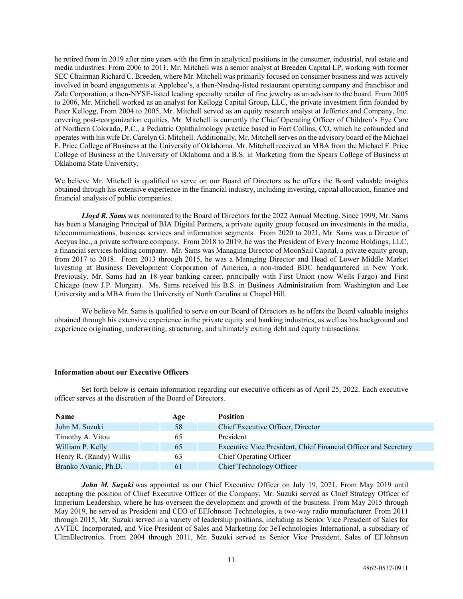he retired from in 2019 after nine years with the firm in analytical positions in the consumer, industrial, real estate and media industries. From 2006 to 2011, Mr. Mitchell was a senior analyst at Breeden Capital LP, working with former SEC Chairman Richard C. Breeden, where Mr. Mitchell was primarily focused on consumer business and was actively involved in board engagements at Applebee's, a then-Nasdaq-listed restaurant operating company and franchisor and Zale Corporation, a then-NYSE-listed leading specialty retailer of fine jewelry as an advisor to the board. From 2005 to 2006, Mr. Mitchell worked as an analyst for Kellogg Capital Group, LLC, the private investment firm founded by Peter Kellogg, From 2004 to 2005, Mr. Mitchell served as an equity research analyst at Jefferies and Company, Inc. covering post-reorganization equities. Mr. Mitchell is currently the Chief Operating Officer of Children's Eye Care of Northern Colorado, P.C., a Pediatric Ophthalmology practice based in Fort Collins, CO, which he cofounded and operates with his wife Dr. Carolyn G. Mitchell. Additionally, Mr. Mitchell serves on the advisory board of the Michael F. Price College of Business at the University of Oklahoma. Mr. Mitchell received an MBA from the Michael F. Price College of Business at the University of Oklahoma and a B.S. in Marketing from the Spears College of Business at Oklahoma State University.

We believe Mr. Mitchell is qualified to serve on our Board of Directors as he offers the Board valuable insights obtained through his extensive experience in the financial industry, including investing, capital allocation, finance and financial analysis of public companies.

*Lloyd R. Sams* was nominated to the Board of Directors for the 2022 Annual Meeting. Since 1999, Mr. Sams has been a Managing Principal of BIA Digital Partners, a private equity group focused on investments in the media, telecommunications, business services and information segments. From 2020 to 2021, Mr. Sams was a Director of Aceyus Inc., a private software company. From 2018 to 2019, he was the President of Every Income Holdings, LLC, a financial services holding company. Mr. Sams was Managing Director of MoonSail Capital, a private equity group, from 2017 to 2018. From 2013 through 2015, he was a Managing Director and Head of Lower Middle Market Investing at Business Development Corporation of America, a non-traded BDC headquartered in New York. Previously, Mr. Sams had an 18-year banking career, principally with First Union (now Wells Fargo) and First Chicago (now J.P. Morgan). Ms. Sams received his B.S. in Business Administration from Washington and Lee University and a MBA from the University of North Carolina at Chapel Hill.

We believe Mr. Sams is qualified to serve on our Board of Directors as he offers the Board valuable insights obtained through his extensive experience in the private equity and banking industries, as well as his background and experience originating, underwriting, structuring, and ultimately exiting debt and equity transactions.

#### **Information about our Executive Officers**

Set forth below is certain information regarding our executive officers as of April 25, 2022. Each executive officer serves at the discretion of the Board of Directors.

| Name                    | Age | <b>Position</b>                                                 |
|-------------------------|-----|-----------------------------------------------------------------|
| John M. Suzuki          | 58  | Chief Executive Officer, Director                               |
| Timothy A. Vitou        | 65  | President                                                       |
| William P. Kelly        | 65  | Executive Vice President, Chief Financial Officer and Secretary |
| Henry R. (Randy) Willis | 63  | Chief Operating Officer                                         |
| Branko Avanic, Ph.D.    | 61  | <b>Chief Technology Officer</b>                                 |

*John M. Suzuki* was appointed as our Chief Executive Officer on July 19, 2021. From May 2019 until accepting the position of Chief Executive Officer of the Company, Mr. Suzuki served as Chief Strategy Officer of Imperium Leadership, where he has overseen the development and growth of the business. From May 2015 through May 2019, he served as President and CEO of EFJohnson Technologies, a two-way radio manufacturer. From 2011 through 2015, Mr. Suzuki served in a variety of leadership positions, including as Senior Vice President of Sales for AVTEC Incorporated, and Vice President of Sales and Marketing for 3eTechnologies International, a subsidiary of UltraElectronics. From 2004 through 2011, Mr. Suzuki served as Senior Vice President, Sales of EFJohnson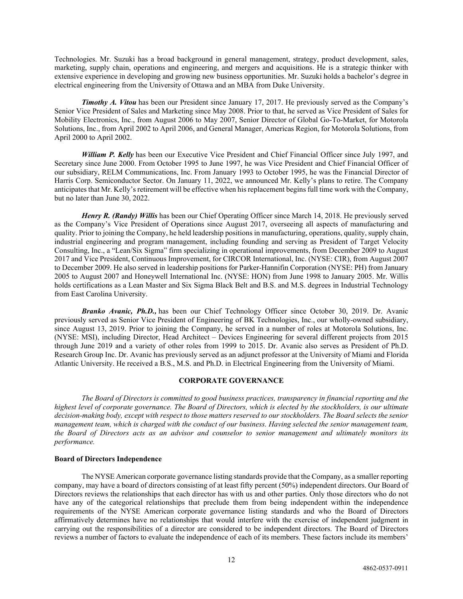Technologies. Mr. Suzuki has a broad background in general management, strategy, product development, sales, marketing, supply chain, operations and engineering, and mergers and acquisitions. He is a strategic thinker with extensive experience in developing and growing new business opportunities. Mr. Suzuki holds a bachelor's degree in electrical engineering from the University of Ottawa and an MBA from Duke University.

*Timothy A. Vitou* has been our President since January 17, 2017. He previously served as the Company's Senior Vice President of Sales and Marketing since May 2008. Prior to that, he served as Vice President of Sales for Mobility Electronics, Inc., from August 2006 to May 2007, Senior Director of Global Go-To-Market, for Motorola Solutions, Inc., from April 2002 to April 2006, and General Manager, Americas Region, for Motorola Solutions, from April 2000 to April 2002.

*William P. Kelly* has been our Executive Vice President and Chief Financial Officer since July 1997, and Secretary since June 2000. From October 1995 to June 1997, he was Vice President and Chief Financial Officer of our subsidiary, RELM Communications, Inc. From January 1993 to October 1995, he was the Financial Director of Harris Corp. Semiconductor Sector. On January 11, 2022, we announced Mr. Kelly's plans to retire. The Company anticipates that Mr. Kelly's retirement will be effective when his replacement begins full time work with the Company, but no later than June 30, 2022.

*Henry R. (Randy) Willis* has been our Chief Operating Officer since March 14, 2018. He previously served as the Company's Vice President of Operations since August 2017, overseeing all aspects of manufacturing and quality. Prior to joining the Company, he held leadership positions in manufacturing, operations, quality, supply chain, industrial engineering and program management, including founding and serving as President of Target Velocity Consulting, Inc., a "Lean/Six Sigma" firm specializing in operational improvements, from December 2009 to August 2017 and Vice President, Continuous Improvement, for CIRCOR International, Inc. (NYSE: CIR), from August 2007 to December 2009. He also served in leadership positions for Parker-Hannifin Corporation (NYSE: PH) from January 2005 to August 2007 and Honeywell International Inc. (NYSE: HON) from June 1998 to January 2005. Mr. Willis holds certifications as a Lean Master and Six Sigma Black Belt and B.S. and M.S. degrees in Industrial Technology from East Carolina University.

*Branko Avanic, Ph.D.,* has been our Chief Technology Officer since October 30, 2019. Dr. Avanic previously served as Senior Vice President of Engineering of BK Technologies, Inc., our wholly-owned subsidiary, since August 13, 2019. Prior to joining the Company, he served in a number of roles at Motorola Solutions, Inc. (NYSE: MSI), including Director, Head Architect – Devices Engineering for several different projects from 2015 through June 2019 and a variety of other roles from 1999 to 2015. Dr. Avanic also serves as President of Ph.D. Research Group Inc. Dr. Avanic has previously served as an adjunct professor at the University of Miami and Florida Atlantic University. He received a B.S., M.S. and Ph.D. in Electrical Engineering from the University of Miami.

#### <span id="page-17-0"></span>**CORPORATE GOVERNANCE**

*The Board of Directors is committed to good business practices, transparency in financial reporting and the highest level of corporate governance. The Board of Directors, which is elected by the stockholders, is our ultimate decision-making body, except with respect to those matters reserved to our stockholders. The Board selects the senior management team, which is charged with the conduct of our business. Having selected the senior management team, the Board of Directors acts as an advisor and counselor to senior management and ultimately monitors its performance.*

#### **Board of Directors Independence**

The NYSE American corporate governance listing standards provide that the Company, as a smaller reporting company, may have a board of directors consisting of at least fifty percent (50%) independent directors. Our Board of Directors reviews the relationships that each director has with us and other parties. Only those directors who do not have any of the categorical relationships that preclude them from being independent within the independence requirements of the NYSE American corporate governance listing standards and who the Board of Directors affirmatively determines have no relationships that would interfere with the exercise of independent judgment in carrying out the responsibilities of a director are considered to be independent directors. The Board of Directors reviews a number of factors to evaluate the independence of each of its members. These factors include its members'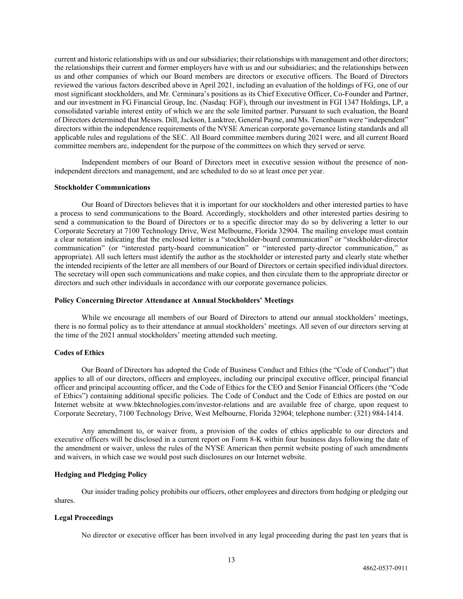current and historic relationships with us and our subsidiaries; their relationships with management and other directors; the relationships their current and former employers have with us and our subsidiaries; and the relationships between us and other companies of which our Board members are directors or executive officers. The Board of Directors reviewed the various factors described above in April 2021, including an evaluation of the holdings of FG, one of our most significant stockholders, and Mr. Cerminara's positions as its Chief Executive Officer, Co-Founder and Partner, and our investment in FG Financial Group, Inc. (Nasdaq: FGF), through our investment in FGI 1347 Holdings, LP, a consolidated variable interest entity of which we are the sole limited partner. Pursuant to such evaluation, the Board of Directors determined that Messrs. Dill, Jackson, Lanktree, General Payne, and Ms. Tenenbaum were "independent" directors within the independence requirements of the NYSE American corporate governance listing standards and all applicable rules and regulations of the SEC. All Board committee members during 2021 were, and all current Board committee members are, independent for the purpose of the committees on which they served or serve.

Independent members of our Board of Directors meet in executive session without the presence of nonindependent directors and management, and are scheduled to do so at least once per year.

#### **Stockholder Communications**

Our Board of Directors believes that it is important for our stockholders and other interested parties to have a process to send communications to the Board. Accordingly, stockholders and other interested parties desiring to send a communication to the Board of Directors or to a specific director may do so by delivering a letter to our Corporate Secretary at 7100 Technology Drive, West Melbourne, Florida 32904. The mailing envelope must contain a clear notation indicating that the enclosed letter is a "stockholder-board communication" or "stockholder-director communication" (or "interested party-board communication" or "interested party-director communication," as appropriate). All such letters must identify the author as the stockholder or interested party and clearly state whether the intended recipients of the letter are all members of our Board of Directors or certain specified individual directors. The secretary will open such communications and make copies, and then circulate them to the appropriate director or directors and such other individuals in accordance with our corporate governance policies.

#### **Policy Concerning Director Attendance at Annual Stockholders' Meetings**

While we encourage all members of our Board of Directors to attend our annual stockholders' meetings, there is no formal policy as to their attendance at annual stockholders' meetings. All seven of our directors serving at the time of the 2021 annual stockholders' meeting attended such meeting.

#### **Codes of Ethics**

Our Board of Directors has adopted the Code of Business Conduct and Ethics (the "Code of Conduct") that applies to all of our directors, officers and employees, including our principal executive officer, principal financial officer and principal accounting officer, and the Code of Ethics for the CEO and Senior Financial Officers (the "Code of Ethics") containing additional specific policies. The Code of Conduct and the Code of Ethics are posted on our Internet website at www.bktechnologies.com/investor-relations and are available free of charge, upon request to Corporate Secretary, 7100 Technology Drive, West Melbourne, Florida 32904; telephone number: (321) 984-1414.

Any amendment to, or waiver from, a provision of the codes of ethics applicable to our directors and executive officers will be disclosed in a current report on Form 8-K within four business days following the date of the amendment or waiver, unless the rules of the NYSE American then permit website posting of such amendments and waivers, in which case we would post such disclosures on our Internet website.

# **Hedging and Pledging Policy**

Our insider trading policy prohibits our officers, other employees and directors from hedging or pledging our shares.

#### **Legal Proceedings**

No director or executive officer has been involved in any legal proceeding during the past ten years that is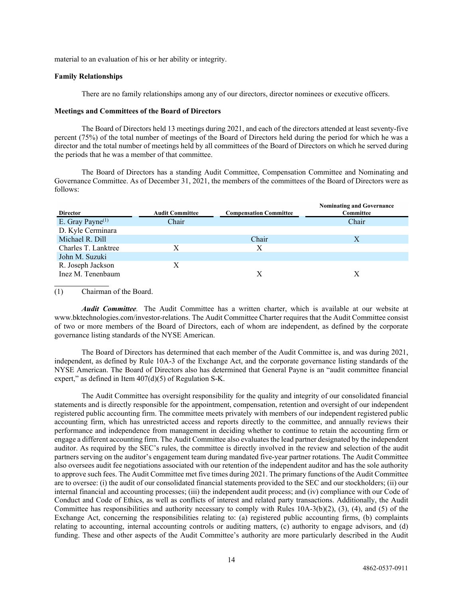material to an evaluation of his or her ability or integrity.

## **Family Relationships**

There are no family relationships among any of our directors, director nominees or executive officers.

#### **Meetings and Committees of the Board of Directors**

The Board of Directors held 13 meetings during 2021, and each of the directors attended at least seventy-five percent (75%) of the total number of meetings of the Board of Directors held during the period for which he was a director and the total number of meetings held by all committees of the Board of Directors on which he served during the periods that he was a member of that committee.

The Board of Directors has a standing Audit Committee, Compensation Committee and Nominating and Governance Committee. As of December 31, 2021, the members of the committees of the Board of Directors were as follows:

| <b>Director</b>        | <b>Audit Committee</b> | <b>Compensation Committee</b> | <b>Nominating and Governance</b><br>Committee |
|------------------------|------------------------|-------------------------------|-----------------------------------------------|
| E. Gray Payne $^{(1)}$ | Chair                  |                               | Chair                                         |
| D. Kyle Cerminara      |                        |                               |                                               |
| Michael R. Dill        |                        | Chair                         | Χ                                             |
| Charles T. Lanktree    | X                      | X                             |                                               |
| John M. Suzuki         |                        |                               |                                               |
| R. Joseph Jackson      | X                      |                               |                                               |
| Inez M. Tenenbaum      |                        | X                             | Х                                             |
|                        |                        |                               |                                               |

(1) Chairman of the Board.

*Audit Committee.* The Audit Committee has a written charter, which is available at our website at www.bktechnologies.com/investor-relations. The Audit Committee Charter requires that the Audit Committee consist of two or more members of the Board of Directors, each of whom are independent, as defined by the corporate governance listing standards of the NYSE American.

The Board of Directors has determined that each member of the Audit Committee is, and was during 2021, independent, as defined by Rule 10A-3 of the Exchange Act, and the corporate governance listing standards of the NYSE American. The Board of Directors also has determined that General Payne is an "audit committee financial expert," as defined in Item  $407(d)(5)$  of Regulation S-K.

The Audit Committee has oversight responsibility for the quality and integrity of our consolidated financial statements and is directly responsible for the appointment, compensation, retention and oversight of our independent registered public accounting firm. The committee meets privately with members of our independent registered public accounting firm, which has unrestricted access and reports directly to the committee, and annually reviews their performance and independence from management in deciding whether to continue to retain the accounting firm or engage a different accounting firm. The Audit Committee also evaluates the lead partner designated by the independent auditor. As required by the SEC's rules, the committee is directly involved in the review and selection of the audit partners serving on the auditor's engagement team during mandated five-year partner rotations. The Audit Committee also oversees audit fee negotiations associated with our retention of the independent auditor and has the sole authority to approve such fees. The Audit Committee met five times during 2021. The primary functions of the Audit Committee are to oversee: (i) the audit of our consolidated financial statements provided to the SEC and our stockholders; (ii) our internal financial and accounting processes; (iii) the independent audit process; and (iv) compliance with our Code of Conduct and Code of Ethics, as well as conflicts of interest and related party transactions. Additionally, the Audit Committee has responsibilities and authority necessary to comply with Rules 10A-3(b)(2), (3), (4), and (5) of the Exchange Act, concerning the responsibilities relating to: (a) registered public accounting firms, (b) complaints relating to accounting, internal accounting controls or auditing matters, (c) authority to engage advisors, and (d) funding. These and other aspects of the Audit Committee's authority are more particularly described in the Audit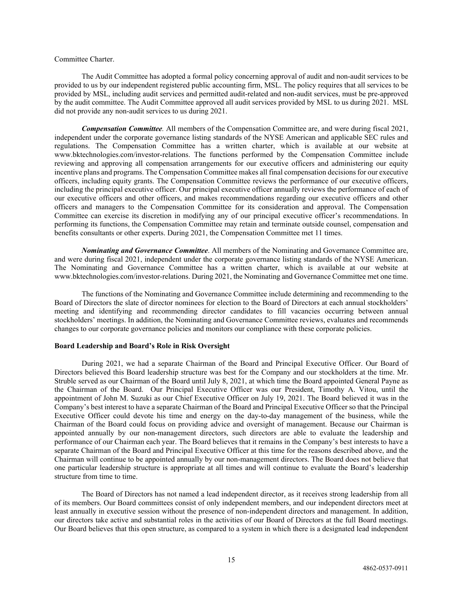#### Committee Charter.

The Audit Committee has adopted a formal policy concerning approval of audit and non-audit services to be provided to us by our independent registered public accounting firm, MSL. The policy requires that all services to be provided by MSL, including audit services and permitted audit-related and non-audit services, must be pre-approved by the audit committee. The Audit Committee approved all audit services provided by MSL to us during 2021. MSL did not provide any non-audit services to us during 2021.

*Compensation Committee.* All members of the Compensation Committee are, and were during fiscal 2021, independent under the corporate governance listing standards of the NYSE American and applicable SEC rules and regulations. The Compensation Committee has a written charter, which is available at our website at www.bktechnologies.com/investor-relations. The functions performed by the Compensation Committee include reviewing and approving all compensation arrangements for our executive officers and administering our equity incentive plans and programs. The Compensation Committee makes all final compensation decisions for our executive officers, including equity grants. The Compensation Committee reviews the performance of our executive officers, including the principal executive officer. Our principal executive officer annually reviews the performance of each of our executive officers and other officers, and makes recommendations regarding our executive officers and other officers and managers to the Compensation Committee for its consideration and approval. The Compensation Committee can exercise its discretion in modifying any of our principal executive officer's recommendations. In performing its functions, the Compensation Committee may retain and terminate outside counsel, compensation and benefits consultants or other experts. During 2021, the Compensation Committee met 11 times.

*Nominating and Governance Committee*. All members of the Nominating and Governance Committee are, and were during fiscal 2021, independent under the corporate governance listing standards of the NYSE American. The Nominating and Governance Committee has a written charter, which is available at our website at www.bktechnologies.com/investor-relations. During 2021, the Nominating and Governance Committee met one time.

The functions of the Nominating and Governance Committee include determining and recommending to the Board of Directors the slate of director nominees for election to the Board of Directors at each annual stockholders' meeting and identifying and recommending director candidates to fill vacancies occurring between annual stockholders' meetings. In addition, the Nominating and Governance Committee reviews, evaluates and recommends changes to our corporate governance policies and monitors our compliance with these corporate policies.

## **Board Leadership and Board's Role in Risk Oversight**

During 2021, we had a separate Chairman of the Board and Principal Executive Officer. Our Board of Directors believed this Board leadership structure was best for the Company and our stockholders at the time. Mr. Struble served as our Chairman of the Board until July 8, 2021, at which time the Board appointed General Payne as the Chairman of the Board. Our Principal Executive Officer was our President, Timothy A. Vitou, until the appointment of John M. Suzuki as our Chief Executive Officer on July 19, 2021. The Board believed it was in the Company's best interest to have a separate Chairman of the Board and Principal Executive Officer so that the Principal Executive Officer could devote his time and energy on the day-to-day management of the business, while the Chairman of the Board could focus on providing advice and oversight of management. Because our Chairman is appointed annually by our non-management directors, such directors are able to evaluate the leadership and performance of our Chairman each year. The Board believes that it remains in the Company's best interests to have a separate Chairman of the Board and Principal Executive Officer at this time for the reasons described above, and the Chairman will continue to be appointed annually by our non-management directors. The Board does not believe that one particular leadership structure is appropriate at all times and will continue to evaluate the Board's leadership structure from time to time.

The Board of Directors has not named a lead independent director, as it receives strong leadership from all of its members. Our Board committees consist of only independent members, and our independent directors meet at least annually in executive session without the presence of non-independent directors and management. In addition, our directors take active and substantial roles in the activities of our Board of Directors at the full Board meetings. Our Board believes that this open structure, as compared to a system in which there is a designated lead independent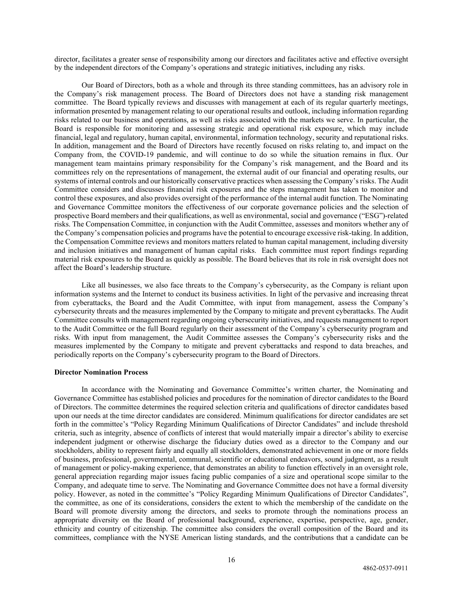director, facilitates a greater sense of responsibility among our directors and facilitates active and effective oversight by the independent directors of the Company's operations and strategic initiatives, including any risks.

Our Board of Directors, both as a whole and through its three standing committees, has an advisory role in the Company's risk management process. The Board of Directors does not have a standing risk management committee. The Board typically reviews and discusses with management at each of its regular quarterly meetings, information presented by management relating to our operational results and outlook, including information regarding risks related to our business and operations, as well as risks associated with the markets we serve. In particular, the Board is responsible for monitoring and assessing strategic and operational risk exposure, which may include financial, legal and regulatory, human capital, environmental, information technology, security and reputational risks. In addition, management and the Board of Directors have recently focused on risks relating to, and impact on the Company from, the COVID-19 pandemic, and will continue to do so while the situation remains in flux. Our management team maintains primary responsibility for the Company's risk management, and the Board and its committees rely on the representations of management, the external audit of our financial and operating results, our systems of internal controls and our historically conservative practices when assessing the Company's risks. The Audit Committee considers and discusses financial risk exposures and the steps management has taken to monitor and control these exposures, and also provides oversight of the performance of the internal audit function. The Nominating and Governance Committee monitors the effectiveness of our corporate governance policies and the selection of prospective Board members and their qualifications, as well as environmental, social and governance ("ESG")-related risks. The Compensation Committee, in conjunction with the Audit Committee, assesses and monitors whether any of the Company's compensation policies and programs have the potential to encourage excessive risk-taking. In addition, the Compensation Committee reviews and monitors matters related to human capital management, including diversity and inclusion initiatives and management of human capital risks. Each committee must report findings regarding material risk exposures to the Board as quickly as possible. The Board believes that its role in risk oversight does not affect the Board's leadership structure.

Like all businesses, we also face threats to the Company's cybersecurity, as the Company is reliant upon information systems and the Internet to conduct its business activities. In light of the pervasive and increasing threat from cyberattacks, the Board and the Audit Committee, with input from management, assess the Company's cybersecurity threats and the measures implemented by the Company to mitigate and prevent cyberattacks. The Audit Committee consults with management regarding ongoing cybersecurity initiatives, and requests management to report to the Audit Committee or the full Board regularly on their assessment of the Company's cybersecurity program and risks. With input from management, the Audit Committee assesses the Company's cybersecurity risks and the measures implemented by the Company to mitigate and prevent cyberattacks and respond to data breaches, and periodically reports on the Company's cybersecurity program to the Board of Directors.

#### **Director Nomination Process**

In accordance with the Nominating and Governance Committee's written charter, the Nominating and Governance Committee has established policies and procedures for the nomination of director candidates to the Board of Directors. The committee determines the required selection criteria and qualifications of director candidates based upon our needs at the time director candidates are considered. Minimum qualifications for director candidates are set forth in the committee's "Policy Regarding Minimum Qualifications of Director Candidates" and include threshold criteria, such as integrity, absence of conflicts of interest that would materially impair a director's ability to exercise independent judgment or otherwise discharge the fiduciary duties owed as a director to the Company and our stockholders, ability to represent fairly and equally all stockholders, demonstrated achievement in one or more fields of business, professional, governmental, communal, scientific or educational endeavors, sound judgment, as a result of management or policy-making experience, that demonstrates an ability to function effectively in an oversight role, general appreciation regarding major issues facing public companies of a size and operational scope similar to the Company, and adequate time to serve. The Nominating and Governance Committee does not have a formal diversity policy. However, as noted in the committee's "Policy Regarding Minimum Qualifications of Director Candidates", the committee, as one of its considerations, considers the extent to which the membership of the candidate on the Board will promote diversity among the directors, and seeks to promote through the nominations process an appropriate diversity on the Board of professional background, experience, expertise, perspective, age, gender, ethnicity and country of citizenship. The committee also considers the overall composition of the Board and its committees, compliance with the NYSE American listing standards, and the contributions that a candidate can be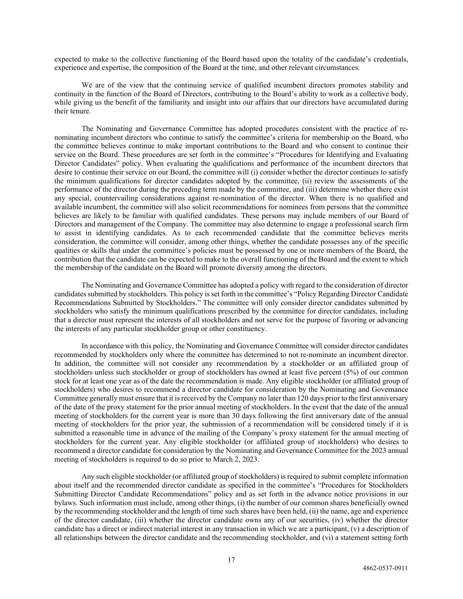expected to make to the collective functioning of the Board based upon the totality of the candidate's credentials, experience and expertise, the composition of the Board at the time, and other relevant circumstances.

We are of the view that the continuing service of qualified incumbent directors promotes stability and continuity in the function of the Board of Directors, contributing to the Board's ability to work as a collective body, while giving us the benefit of the familiarity and insight into our affairs that our directors have accumulated during their tenure.

The Nominating and Governance Committee has adopted procedures consistent with the practice of renominating incumbent directors who continue to satisfy the committee's criteria for membership on the Board, who the committee believes continue to make important contributions to the Board and who consent to continue their service on the Board. These procedures are set forth in the committee's "Procedures for Identifying and Evaluating Director Candidates" policy. When evaluating the qualifications and performance of the incumbent directors that desire to continue their service on our Board, the committee will (i) consider whether the director continues to satisfy the minimum qualifications for director candidates adopted by the committee, (ii) review the assessments of the performance of the director during the preceding term made by the committee, and (iii) determine whether there exist any special, countervailing considerations against re-nomination of the director. When there is no qualified and available incumbent, the committee will also solicit recommendations for nominees from persons that the committee believes are likely to be familiar with qualified candidates. These persons may include members of our Board of Directors and management of the Company. The committee may also determine to engage a professional search firm to assist in identifying candidates. As to each recommended candidate that the committee believes merits consideration, the committee will consider, among other things, whether the candidate possesses any of the specific qualities or skills that under the committee's policies must be possessed by one or more members of the Board, the contribution that the candidate can be expected to make to the overall functioning of the Board and the extent to which the membership of the candidate on the Board will promote diversity among the directors.

The Nominating and Governance Committee has adopted a policy with regard to the consideration of director candidates submitted by stockholders. This policy is set forth in the committee's "Policy Regarding Director Candidate Recommendations Submitted by Stockholders." The committee will only consider director candidates submitted by stockholders who satisfy the minimum qualifications prescribed by the committee for director candidates, including that a director must represent the interests of all stockholders and not serve for the purpose of favoring or advancing the interests of any particular stockholder group or other constituency.

In accordance with this policy, the Nominating and Governance Committee will consider director candidates recommended by stockholders only where the committee has determined to not re-nominate an incumbent director. In addition, the committee will not consider any recommendation by a stockholder or an affiliated group of stockholders unless such stockholder or group of stockholders has owned at least five percent (5%) of our common stock for at least one year as of the date the recommendation is made. Any eligible stockholder (or affiliated group of stockholders) who desires to recommend a director candidate for consideration by the Nominating and Governance Committee generally must ensure that it is received by the Company no later than 120 days prior to the first anniversary of the date of the proxy statement for the prior annual meeting of stockholders. In the event that the date of the annual meeting of stockholders for the current year is more than 30 days following the first anniversary date of the annual meeting of stockholders for the prior year, the submission of a recommendation will be considered timely if it is submitted a reasonable time in advance of the mailing of the Company's proxy statement for the annual meeting of stockholders for the current year. Any eligible stockholder (or affiliated group of stockholders) who desires to recommend a director candidate for consideration by the Nominating and Governance Committee for the 2023 annual meeting of stockholders is required to do so prior to March 2, 2023.

Any such eligible stockholder (or affiliated group of stockholders) is required to submit complete information about itself and the recommended director candidate as specified in the committee's "Procedures for Stockholders Submitting Director Candidate Recommendations" policy and as set forth in the advance notice provisions in our bylaws. Such information must include, among other things, (i) the number of our common shares beneficially owned by the recommending stockholder and the length of time such shares have been held, (ii) the name, age and experience of the director candidate, (iii) whether the director candidate owns any of our securities, (iv) whether the director candidate has a direct or indirect material interest in any transaction in which we are a participant, (v) a description of all relationships between the director candidate and the recommending stockholder, and (vi) a statement setting forth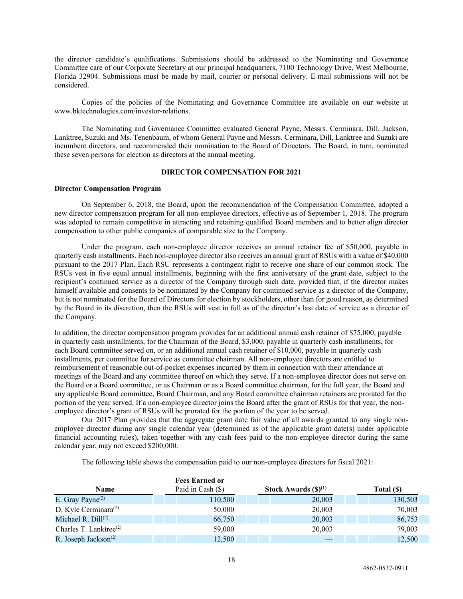the director candidate's qualifications. Submissions should be addressed to the Nominating and Governance Committee care of our Corporate Secretary at our principal headquarters, 7100 Technology Drive, West Melbourne, Florida 32904. Submissions must be made by mail, courier or personal delivery. E-mail submissions will not be considered.

Copies of the policies of the Nominating and Governance Committee are available on our website at www.bktechnologies.com/investor-relations.

The Nominating and Governance Committee evaluated General Payne, Messrs. Cerminara, Dill, Jackson, Lanktree, Suzuki and Ms. Tenenbaum, of whom General Payne and Messrs. Cerminara, Dill, Lanktree and Suzuki are incumbent directors, and recommended their nomination to the Board of Directors. The Board, in turn, nominated these seven persons for election as directors at the annual meeting.

## <span id="page-23-0"></span>**DIRECTOR COMPENSATION FOR 2021**

#### **Director Compensation Program**

On September 6, 2018, the Board, upon the recommendation of the Compensation Committee, adopted a new director compensation program for all non-employee directors, effective as of September 1, 2018. The program was adopted to remain competitive in attracting and retaining qualified Board members and to better align director compensation to other public companies of comparable size to the Company.

Under the program, each non-employee director receives an annual retainer fee of \$50,000, payable in quarterly cash installments. Each non-employee director also receives an annual grant of RSUs with a value of \$40,000 pursuant to the 2017 Plan. Each RSU represents a contingent right to receive one share of our common stock. The RSUs vest in five equal annual installments, beginning with the first anniversary of the grant date, subject to the recipient's continued service as a director of the Company through such date, provided that, if the director makes himself available and consents to be nominated by the Company for continued service as a director of the Company, but is not nominated for the Board of Directors for election by stockholders, other than for good reason, as determined by the Board in its discretion, then the RSUs will vest in full as of the director's last date of service as a director of the Company.

In addition, the director compensation program provides for an additional annual cash retainer of \$75,000, payable in quarterly cash installments, for the Chairman of the Board, \$3,000, payable in quarterly cash installments, for each Board committee served on, or an additional annual cash retainer of \$10,000, payable in quarterly cash installments, per committee for service as committee chairman. All non-employee directors are entitled to reimbursement of reasonable out-of-pocket expenses incurred by them in connection with their attendance at meetings of the Board and any committee thereof on which they serve. If a non-employee director does not serve on the Board or a Board committee, or as Chairman or as a Board committee chairman, for the full year, the Board and any applicable Board committee, Board Chairman, and any Board committee chairman retainers are prorated for the portion of the year served. If a non-employee director joins the Board after the grant of RSUs for that year, the nonemployee director's grant of RSUs will be prorated for the portion of the year to be served.

Our 2017 Plan provides that the aggregate grant date fair value of all awards granted to any single nonemployee director during any single calendar year (determined as of the applicable grant date(s) under applicable financial accounting rules), taken together with any cash fees paid to the non-employee director during the same calendar year, may not exceed \$200,000.

The following table shows the compensation paid to our non-employee directors for fiscal 2021:

|                                               | <b>Fees Earned or</b> |                                    |            |
|-----------------------------------------------|-----------------------|------------------------------------|------------|
| <b>Name</b>                                   | Paid in Cash (\$)     | Stock Awards $(\textbf{\$})^{(1)}$ | Total (\$) |
| E. Gray Payne <sup><math>(2)</math></sup>     | 110,500               | 20,003                             | 130,503    |
| D. Kyle Cerminara <sup>(2)</sup>              | 50,000                | 20,003                             | 70,003     |
| Michael R. $Dill^{(2)}$                       | 66,750                | 20,003                             | 86,753     |
| Charles T. Lanktree <sup>(2)</sup>            | 59,000                | 20,003                             | 79,003     |
| R. Joseph Jackson <sup><math>(2)</math></sup> | 12,500                |                                    | 12,500     |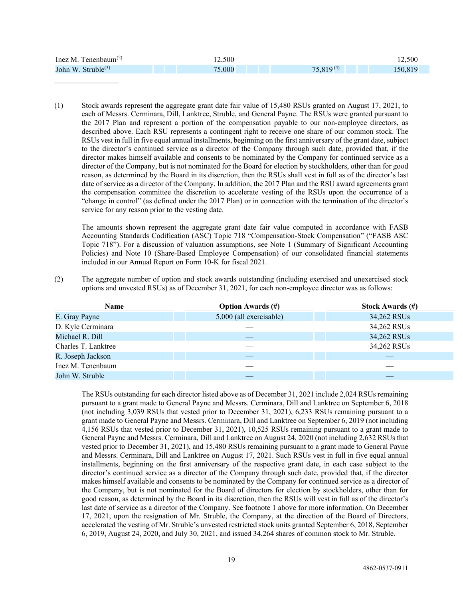| Inez M. Tenenbaum $^{(2)}$     | 12.500 |                | 12.500 |
|--------------------------------|--------|----------------|--------|
| John W. Struble <sup>(3)</sup> | 75,000 | $75,819^{(4)}$ | 50.819 |

 $\mathcal{L}$  , we have the set of the set of the set of the set of the set of the set of the set of the set of the set of the set of the set of the set of the set of the set of the set of the set of the set of the set of the

(1) Stock awards represent the aggregate grant date fair value of 15,480 RSUs granted on August 17, 2021, to each of Messrs. Cerminara, Dill, Lanktree, Struble, and General Payne. The RSUs were granted pursuant to the 2017 Plan and represent a portion of the compensation payable to our non-employee directors, as described above. Each RSU represents a contingent right to receive one share of our common stock. The RSUs vest in full in five equal annual installments, beginning on the first anniversary of the grant date, subject to the director's continued service as a director of the Company through such date, provided that, if the director makes himself available and consents to be nominated by the Company for continued service as a director of the Company, but is not nominated for the Board for election by stockholders, other than for good reason, as determined by the Board in its discretion, then the RSUs shall vest in full as of the director's last date of service as a director of the Company. In addition, the 2017 Plan and the RSU award agreements grant the compensation committee the discretion to accelerate vesting of the RSUs upon the occurrence of a "change in control" (as defined under the 2017 Plan) or in connection with the termination of the director's service for any reason prior to the vesting date.

The amounts shown represent the aggregate grant date fair value computed in accordance with FASB Accounting Standards Codification (ASC) Topic 718 "Compensation-Stock Compensation" ("FASB ASC Topic 718"). For a discussion of valuation assumptions, see Note 1 (Summary of Significant Accounting Policies) and Note 10 (Share-Based Employee Compensation) of our consolidated financial statements included in our Annual Report on Form 10-K for fiscal 2021.

(2) The aggregate number of option and stock awards outstanding (including exercised and unexercised stock options and unvested RSUs) as of December 31, 2021, for each non-employee director was as follows:

| Name                | <b>Option Awards (#)</b> | <b>Stock Awards (#)</b> |
|---------------------|--------------------------|-------------------------|
| E. Gray Payne       | 5,000 (all exercisable)  | 34,262 RSUs             |
| D. Kyle Cerminara   |                          | 34,262 RSUs             |
| Michael R. Dill     |                          | 34,262 RSUs             |
| Charles T. Lanktree |                          | 34,262 RSUs             |
| R. Joseph Jackson   |                          |                         |
| Inez M. Tenenbaum   |                          |                         |
| John W. Struble     |                          |                         |

The RSUs outstanding for each director listed above as of December 31, 2021 include 2,024 RSUs remaining pursuant to a grant made to General Payne and Messrs. Cerminara, Dill and Lanktree on September 6, 2018 (not including 3,039 RSUs that vested prior to December 31, 2021), 6,233 RSUs remaining pursuant to a grant made to General Payne and Messrs. Cerminara, Dill and Lanktree on September 6, 2019 (not including 4,156 RSUs that vested prior to December 31, 2021), 10,525 RSUs remaining pursuant to a grant made to General Payne and Messrs. Cerminara, Dill and Lanktree on August 24, 2020 (not including 2,632 RSUs that vested prior to December 31, 2021), and 15,480 RSUs remaining pursuant to a grant made to General Payne and Messrs. Cerminara, Dill and Lanktree on August 17, 2021. Such RSUs vest in full in five equal annual installments, beginning on the first anniversary of the respective grant date, in each case subject to the director's continued service as a director of the Company through such date, provided that, if the director makes himself available and consents to be nominated by the Company for continued service as a director of the Company, but is not nominated for the Board of directors for election by stockholders, other than for good reason, as determined by the Board in its discretion, then the RSUs will vest in full as of the director's last date of service as a director of the Company. See footnote 1 above for more information. On December 17, 2021, upon the resignation of Mr. Struble, the Company, at the direction of the Board of Directors, accelerated the vesting of Mr. Struble's unvested restricted stock units granted September 6, 2018, September 6, 2019, August 24, 2020, and July 30, 2021, and issued 34,264 shares of common stock to Mr. Struble.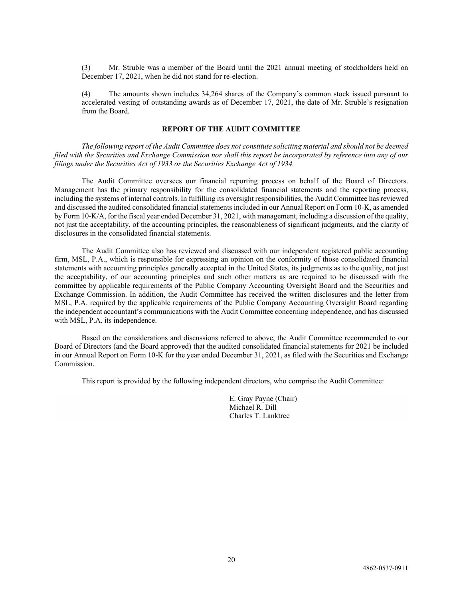(3) Mr. Struble was a member of the Board until the 2021 annual meeting of stockholders held on December 17, 2021, when he did not stand for re-election.

(4) The amounts shown includes 34,264 shares of the Company's common stock issued pursuant to accelerated vesting of outstanding awards as of December 17, 2021, the date of Mr. Struble's resignation from the Board.

# <span id="page-25-0"></span>**REPORT OF THE AUDIT COMMITTEE**

*The following report of the Audit Committee does not constitute soliciting material and should not be deemed filed with the Securities and Exchange Commission nor shall this report be incorporated by reference into any of our filings under the Securities Act of 1933 or the Securities Exchange Act of 1934.*

The Audit Committee oversees our financial reporting process on behalf of the Board of Directors. Management has the primary responsibility for the consolidated financial statements and the reporting process, including the systems of internal controls. In fulfilling its oversight responsibilities, the Audit Committee has reviewed and discussed the audited consolidated financial statements included in our Annual Report on Form 10-K, as amended by Form 10-K/A, for the fiscal year ended December 31, 2021, with management, including a discussion of the quality, not just the acceptability, of the accounting principles, the reasonableness of significant judgments, and the clarity of disclosures in the consolidated financial statements.

The Audit Committee also has reviewed and discussed with our independent registered public accounting firm, MSL, P.A., which is responsible for expressing an opinion on the conformity of those consolidated financial statements with accounting principles generally accepted in the United States, its judgments as to the quality, not just the acceptability, of our accounting principles and such other matters as are required to be discussed with the committee by applicable requirements of the Public Company Accounting Oversight Board and the Securities and Exchange Commission. In addition, the Audit Committee has received the written disclosures and the letter from MSL, P.A. required by the applicable requirements of the Public Company Accounting Oversight Board regarding the independent accountant's communications with the Audit Committee concerning independence, and has discussed with MSL, P.A. its independence.

Based on the considerations and discussions referred to above, the Audit Committee recommended to our Board of Directors (and the Board approved) that the audited consolidated financial statements for 2021 be included in our Annual Report on Form 10-K for the year ended December 31, 2021, as filed with the Securities and Exchange Commission.

This report is provided by the following independent directors, who comprise the Audit Committee:

E. Gray Payne (Chair) Michael R. Dill Charles T. Lanktree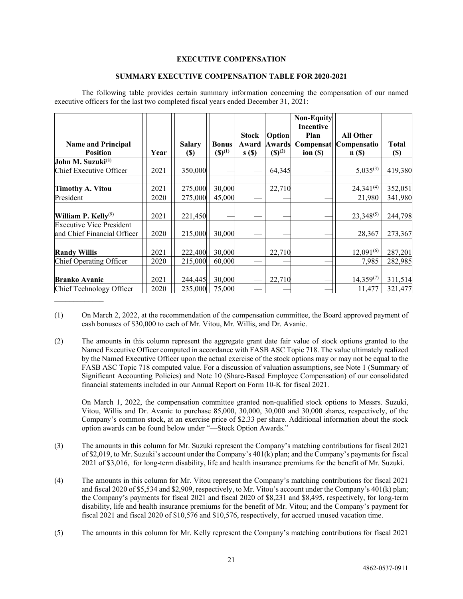# <span id="page-26-0"></span>**EXECUTIVE COMPENSATION**

#### **SUMMARY EXECUTIVE COMPENSATION TABLE FOR 2020-2021**

The following table provides certain summary information concerning the compensation of our named executive officers for the last two completed fiscal years ended December 31, 2021:

| <b>Name and Principal</b><br><b>Position</b>                   | Year | <b>Salary</b>              | <b>Bonus</b><br>$(S)^{(1)}$ | <b>Stock</b><br>Award | <b>Option</b><br>Awards<br>$({\mathbb S})^{(2)}$ | <b>Non-Equity</b><br><b>Incentive</b><br>Plan | <b>All Other</b><br> Compensat  Compensatio | <b>Total</b> |
|----------------------------------------------------------------|------|----------------------------|-----------------------------|-----------------------|--------------------------------------------------|-----------------------------------------------|---------------------------------------------|--------------|
| John M. Suzuki <sup>(8)</sup>                                  |      | $\left( \mathbb{S}\right)$ |                             | s( <sub>s</sub> )     |                                                  | ion $($ )                                     | n(S)                                        | $(\$)$       |
| Chief Executive Officer                                        | 2021 | 350,000                    |                             |                       | 64,345                                           |                                               | $5,035^{(3)}$                               | 419,380      |
|                                                                |      |                            |                             |                       |                                                  |                                               |                                             |              |
| <b>Timothy A. Vitou</b>                                        | 2021 | 275,000                    | 30,000                      |                       | 22,710                                           |                                               | $24,341^{(4)}$                              | 352,051      |
| President                                                      | 2020 | 275,000                    | 45,000                      |                       |                                                  |                                               | 21,980                                      | 341,980      |
|                                                                |      |                            |                             |                       |                                                  |                                               |                                             |              |
| William P. Kelly <sup>(9)</sup>                                | 2021 | 221,450                    |                             |                       |                                                  |                                               | $23,348^{(5)}$                              | 244,798      |
| <b>Executive Vice President</b><br>and Chief Financial Officer | 2020 | 215,000                    | 30,000                      |                       |                                                  |                                               | 28,367                                      | 273,367      |
|                                                                |      |                            |                             |                       |                                                  |                                               |                                             |              |
| <b>Randy Willis</b>                                            | 2021 | 222,400                    | 30,000                      |                       | 22,710                                           |                                               | $12,091^{(6)}$                              | 287,201      |
| Chief Operating Officer                                        | 2020 | 215,000                    | 60,000                      |                       |                                                  |                                               | 7,985                                       | 282,985      |
|                                                                |      |                            |                             |                       |                                                  |                                               |                                             |              |
| <b>Branko Avanic</b>                                           | 2021 | 244,445                    | 30,000                      |                       | 22,710                                           |                                               | $14,359^{(7)}$                              | 311,514      |
| Chief Technology Officer                                       | 2020 | 235,000                    | 75,000                      |                       |                                                  |                                               | 11,477                                      | 321,477      |

(1) On March 2, 2022, at the recommendation of the compensation committee, the Board approved payment of cash bonuses of \$30,000 to each of Mr. Vitou, Mr. Willis, and Dr. Avanic.

 $\mathcal{L}_\text{max}$ 

(2) The amounts in this column represent the aggregate grant date fair value of stock options granted to the Named Executive Officer computed in accordance with FASB ASC Topic 718. The value ultimately realized by the Named Executive Officer upon the actual exercise of the stock options may or may not be equal to the FASB ASC Topic 718 computed value. For a discussion of valuation assumptions, see Note 1 (Summary of Significant Accounting Policies) and Note 10 (Share-Based Employee Compensation) of our consolidated financial statements included in our Annual Report on Form 10-K for fiscal 2021.

On March 1, 2022, the compensation committee granted non-qualified stock options to Messrs. Suzuki, Vitou, Willis and Dr. Avanic to purchase 85,000, 30,000, 30,000 and 30,000 shares, respectively, of the Company's common stock, at an exercise price of \$2.33 per share. Additional information about the stock option awards can be found below under "—Stock Option Awards."

- (3) The amounts in this column for Mr. Suzuki represent the Company's matching contributions for fiscal 2021 of \$2,019, to Mr. Suzuki's account under the Company's 401(k) plan; and the Company's payments for fiscal 2021 of \$3,016, for long-term disability, life and health insurance premiums for the benefit of Mr. Suzuki.
- (4) The amounts in this column for Mr. Vitou represent the Company's matching contributions for fiscal 2021 and fiscal 2020 of \$5,534 and \$2,909, respectively, to Mr. Vitou's account under the Company's 401(k) plan; the Company's payments for fiscal 2021 and fiscal 2020 of \$8,231 and \$8,495, respectively, for long-term disability, life and health insurance premiums for the benefit of Mr. Vitou; and the Company's payment for fiscal 2021 and fiscal 2020 of \$10,576 and \$10,576, respectively, for accrued unused vacation time.
- (5) The amounts in this column for Mr. Kelly represent the Company's matching contributions for fiscal 2021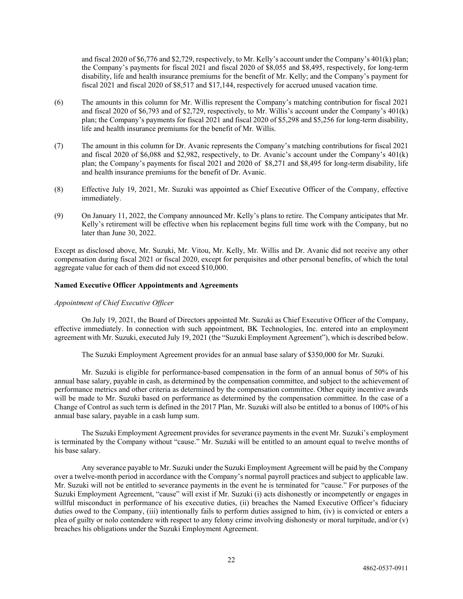and fiscal 2020 of \$6,776 and \$2,729, respectively, to Mr. Kelly's account under the Company's 401(k) plan; the Company's payments for fiscal 2021 and fiscal 2020 of \$8,055 and \$8,495, respectively, for long-term disability, life and health insurance premiums for the benefit of Mr. Kelly; and the Company's payment for fiscal 2021 and fiscal 2020 of \$8,517 and \$17,144, respectively for accrued unused vacation time.

- (6) The amounts in this column for Mr. Willis represent the Company's matching contribution for fiscal 2021 and fiscal 2020 of \$6,793 and of \$2,729, respectively, to Mr. Willis's account under the Company's 401(k) plan; the Company's payments for fiscal 2021 and fiscal 2020 of \$5,298 and \$5,256 for long-term disability, life and health insurance premiums for the benefit of Mr. Willis.
- (7) The amount in this column for Dr. Avanic represents the Company's matching contributions for fiscal 2021 and fiscal 2020 of \$6,088 and \$2,982, respectively, to Dr. Avanic's account under the Company's 401(k) plan; the Company's payments for fiscal 2021 and 2020 of \$8,271 and \$8,495 for long-term disability, life and health insurance premiums for the benefit of Dr. Avanic.
- (8) Effective July 19, 2021, Mr. Suzuki was appointed as Chief Executive Officer of the Company, effective immediately.
- (9) On January 11, 2022, the Company announced Mr. Kelly's plans to retire. The Company anticipates that Mr. Kelly's retirement will be effective when his replacement begins full time work with the Company, but no later than June 30, 2022.

Except as disclosed above, Mr. Suzuki, Mr. Vitou, Mr. Kelly, Mr. Willis and Dr. Avanic did not receive any other compensation during fiscal 2021 or fiscal 2020, except for perquisites and other personal benefits, of which the total aggregate value for each of them did not exceed \$10,000.

#### **Named Executive Officer Appointments and Agreements**

## *Appointment of Chief Executive Officer*

On July 19, 2021, the Board of Directors appointed Mr. Suzuki as Chief Executive Officer of the Company, effective immediately. In connection with such appointment, BK Technologies, Inc. entered into an employment agreement with Mr. Suzuki, executed July 19, 2021 (the "Suzuki Employment Agreement"), which is described below.

The Suzuki Employment Agreement provides for an annual base salary of \$350,000 for Mr. Suzuki.

Mr. Suzuki is eligible for performance-based compensation in the form of an annual bonus of 50% of his annual base salary, payable in cash, as determined by the compensation committee, and subject to the achievement of performance metrics and other criteria as determined by the compensation committee. Other equity incentive awards will be made to Mr. Suzuki based on performance as determined by the compensation committee. In the case of a Change of Control as such term is defined in the 2017 Plan, Mr. Suzuki will also be entitled to a bonus of 100% of his annual base salary, payable in a cash lump sum.

The Suzuki Employment Agreement provides for severance payments in the event Mr. Suzuki's employment is terminated by the Company without "cause." Mr. Suzuki will be entitled to an amount equal to twelve months of his base salary.

Any severance payable to Mr. Suzuki under the Suzuki Employment Agreement will be paid by the Company over a twelve-month period in accordance with the Company's normal payroll practices and subject to applicable law. Mr. Suzuki will not be entitled to severance payments in the event he is terminated for "cause." For purposes of the Suzuki Employment Agreement, "cause" will exist if Mr. Suzuki (i) acts dishonestly or incompetently or engages in willful misconduct in performance of his executive duties, (ii) breaches the Named Executive Officer's fiduciary duties owed to the Company, (iii) intentionally fails to perform duties assigned to him, (iv) is convicted or enters a plea of guilty or nolo contendere with respect to any felony crime involving dishonesty or moral turpitude, and/or (v) breaches his obligations under the Suzuki Employment Agreement.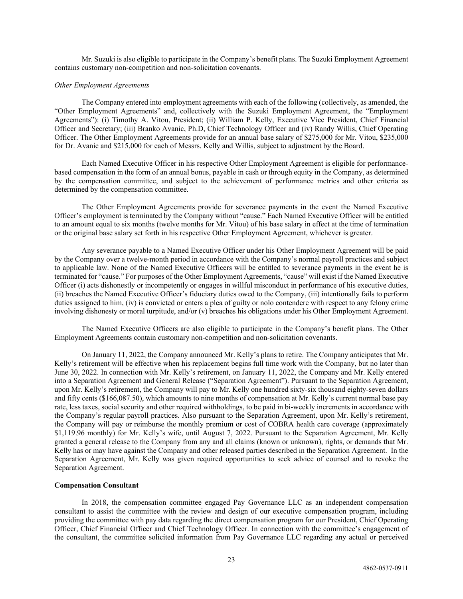Mr. Suzuki is also eligible to participate in the Company's benefit plans. The Suzuki Employment Agreement contains customary non-competition and non-solicitation covenants.

## *Other Employment Agreements*

The Company entered into employment agreements with each of the following (collectively, as amended, the "Other Employment Agreements" and, collectively with the Suzuki Employment Agreement, the "Employment Agreements"): (i) Timothy A. Vitou, President; (ii) William P. Kelly, Executive Vice President, Chief Financial Officer and Secretary; (iii) Branko Avanic, Ph.D, Chief Technology Officer and (iv) Randy Willis, Chief Operating Officer. The Other Employment Agreements provide for an annual base salary of \$275,000 for Mr. Vitou, \$235,000 for Dr. Avanic and \$215,000 for each of Messrs. Kelly and Willis, subject to adjustment by the Board.

Each Named Executive Officer in his respective Other Employment Agreement is eligible for performancebased compensation in the form of an annual bonus, payable in cash or through equity in the Company, as determined by the compensation committee, and subject to the achievement of performance metrics and other criteria as determined by the compensation committee.

The Other Employment Agreements provide for severance payments in the event the Named Executive Officer's employment is terminated by the Company without "cause." Each Named Executive Officer will be entitled to an amount equal to six months (twelve months for Mr. Vitou) of his base salary in effect at the time of termination or the original base salary set forth in his respective Other Employment Agreement, whichever is greater.

Any severance payable to a Named Executive Officer under his Other Employment Agreement will be paid by the Company over a twelve-month period in accordance with the Company's normal payroll practices and subject to applicable law. None of the Named Executive Officers will be entitled to severance payments in the event he is terminated for "cause." For purposes of the Other Employment Agreements, "cause" will exist if the Named Executive Officer (i) acts dishonestly or incompetently or engages in willful misconduct in performance of his executive duties, (ii) breaches the Named Executive Officer's fiduciary duties owed to the Company, (iii) intentionally fails to perform duties assigned to him, (iv) is convicted or enters a plea of guilty or nolo contendere with respect to any felony crime involving dishonesty or moral turpitude, and/or (v) breaches his obligations under his Other Employment Agreement.

The Named Executive Officers are also eligible to participate in the Company's benefit plans. The Other Employment Agreements contain customary non-competition and non-solicitation covenants.

On January 11, 2022, the Company announced Mr. Kelly's plans to retire. The Company anticipates that Mr. Kelly's retirement will be effective when his replacement begins full time work with the Company, but no later than June 30, 2022. In connection with Mr. Kelly's retirement, on January 11, 2022, the Company and Mr. Kelly entered into a Separation Agreement and General Release ("Separation Agreement"). Pursuant to the Separation Agreement, upon Mr. Kelly's retirement, the Company will pay to Mr. Kelly one hundred sixty-six thousand eighty-seven dollars and fifty cents (\$166,087.50), which amounts to nine months of compensation at Mr. Kelly's current normal base pay rate, less taxes, social security and other required withholdings, to be paid in bi-weekly increments in accordance with the Company's regular payroll practices. Also pursuant to the Separation Agreement, upon Mr. Kelly's retirement, the Company will pay or reimburse the monthly premium or cost of COBRA health care coverage (approximately \$1,119.96 monthly) for Mr. Kelly's wife, until August 7, 2022. Pursuant to the Separation Agreement, Mr. Kelly granted a general release to the Company from any and all claims (known or unknown), rights, or demands that Mr. Kelly has or may have against the Company and other released parties described in the Separation Agreement. In the Separation Agreement, Mr. Kelly was given required opportunities to seek advice of counsel and to revoke the Separation Agreement.

#### **Compensation Consultant**

In 2018, the compensation committee engaged Pay Governance LLC as an independent compensation consultant to assist the committee with the review and design of our executive compensation program, including providing the committee with pay data regarding the direct compensation program for our President, Chief Operating Officer, Chief Financial Officer and Chief Technology Officer. In connection with the committee's engagement of the consultant, the committee solicited information from Pay Governance LLC regarding any actual or perceived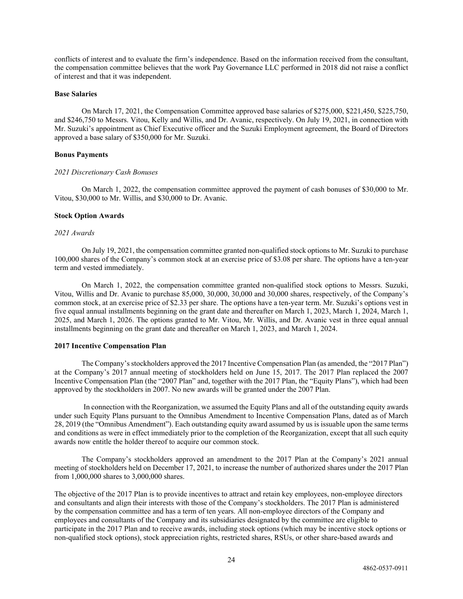conflicts of interest and to evaluate the firm's independence. Based on the information received from the consultant, the compensation committee believes that the work Pay Governance LLC performed in 2018 did not raise a conflict of interest and that it was independent.

#### **Base Salaries**

On March 17, 2021, the Compensation Committee approved base salaries of \$275,000, \$221,450, \$225,750, and \$246,750 to Messrs. Vitou, Kelly and Willis, and Dr. Avanic, respectively. On July 19, 2021, in connection with Mr. Suzuki's appointment as Chief Executive officer and the Suzuki Employment agreement, the Board of Directors approved a base salary of \$350,000 for Mr. Suzuki.

#### **Bonus Payments**

#### *2021 Discretionary Cash Bonuses*

On March 1, 2022, the compensation committee approved the payment of cash bonuses of \$30,000 to Mr. Vitou, \$30,000 to Mr. Willis, and \$30,000 to Dr. Avanic.

#### **Stock Option Awards**

#### *2021 Awards*

On July 19, 2021, the compensation committee granted non-qualified stock options to Mr. Suzuki to purchase 100,000 shares of the Company's common stock at an exercise price of \$3.08 per share. The options have a ten-year term and vested immediately.

On March 1, 2022, the compensation committee granted non-qualified stock options to Messrs. Suzuki, Vitou, Willis and Dr. Avanic to purchase 85,000, 30,000, 30,000 and 30,000 shares, respectively, of the Company's common stock, at an exercise price of \$2.33 per share. The options have a ten-year term. Mr. Suzuki's options vest in five equal annual installments beginning on the grant date and thereafter on March 1, 2023, March 1, 2024, March 1, 2025, and March 1, 2026. The options granted to Mr. Vitou, Mr. Willis, and Dr. Avanic vest in three equal annual installments beginning on the grant date and thereafter on March 1, 2023, and March 1, 2024.

#### **2017 Incentive Compensation Plan**

The Company's stockholders approved the 2017 Incentive Compensation Plan (as amended, the "2017 Plan") at the Company's 2017 annual meeting of stockholders held on June 15, 2017. The 2017 Plan replaced the 2007 Incentive Compensation Plan (the "2007 Plan" and, together with the 2017 Plan, the "Equity Plans"), which had been approved by the stockholders in 2007. No new awards will be granted under the 2007 Plan.

In connection with the Reorganization, we assumed the Equity Plans and all of the outstanding equity awards under such Equity Plans pursuant to the Omnibus Amendment to Incentive Compensation Plans, dated as of March 28, 2019 (the "Omnibus Amendment"). Each outstanding equity award assumed by us is issuable upon the same terms and conditions as were in effect immediately prior to the completion of the Reorganization, except that all such equity awards now entitle the holder thereof to acquire our common stock.

The Company's stockholders approved an amendment to the 2017 Plan at the Company's 2021 annual meeting of stockholders held on December 17, 2021, to increase the number of authorized shares under the 2017 Plan from 1,000,000 shares to 3,000,000 shares.

The objective of the 2017 Plan is to provide incentives to attract and retain key employees, non-employee directors and consultants and align their interests with those of the Company's stockholders. The 2017 Plan is administered by the compensation committee and has a term of ten years. All non-employee directors of the Company and employees and consultants of the Company and its subsidiaries designated by the committee are eligible to participate in the 2017 Plan and to receive awards, including stock options (which may be incentive stock options or non-qualified stock options), stock appreciation rights, restricted shares, RSUs, or other share-based awards and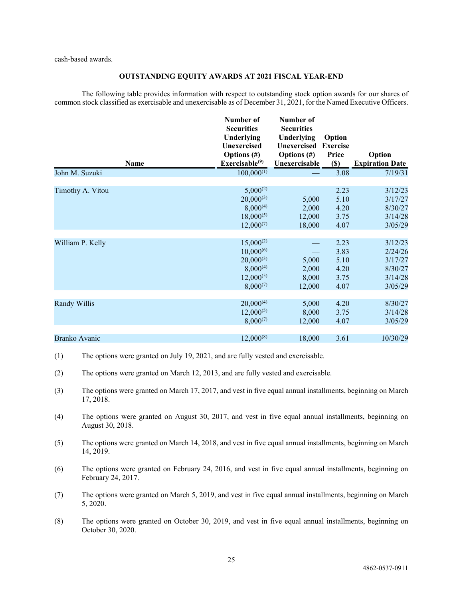cash-based awards.

## **OUTSTANDING EQUITY AWARDS AT 2021 FISCAL YEAR-END**

The following table provides information with respect to outstanding stock option awards for our shares of common stock classified as exercisable and unexercisable as of December 31, 2021, for the Named Executive Officers.

| Name                 | Number of<br><b>Securities</b><br>Underlying<br>Unexercised<br>Options $(\#)$<br>Exerciseable <sup>(9)</sup> | Number of<br><b>Securities</b><br>Underlying<br><b>Unexercised</b><br>Options $(\#)$<br>Unexercisable | Option<br><b>Exercise</b><br>Price<br>$(\$)$ | Option<br><b>Expiration Date</b>                               |
|----------------------|--------------------------------------------------------------------------------------------------------------|-------------------------------------------------------------------------------------------------------|----------------------------------------------|----------------------------------------------------------------|
| John M. Suzuki       | $100,000^{(1)}$                                                                                              |                                                                                                       | 3.08                                         | 7/19/31                                                        |
| Timothy A. Vitou     | $5,000^{(2)}$<br>$20,000^{(3)}$<br>$8,000^{(4)}$<br>$18,000^{(5)}$<br>$12,000^{(7)}$                         | 5,000<br>2,000<br>12,000<br>18,000                                                                    | 2.23<br>5.10<br>4.20<br>3.75<br>4.07         | 3/12/23<br>3/17/27<br>8/30/27<br>3/14/28<br>3/05/29            |
| William P. Kelly     | $15,000^{(2)}$<br>$10,000^{(6)}$<br>$20,000^{(3)}$<br>$8,000^{(4)}$<br>$12,000^{(5)}$<br>$8,000^{(7)}$       | 5,000<br>2,000<br>8,000<br>12,000                                                                     | 2.23<br>3.83<br>5.10<br>4.20<br>3.75<br>4.07 | 3/12/23<br>2/24/26<br>3/17/27<br>8/30/27<br>3/14/28<br>3/05/29 |
| Randy Willis         | $20,000^{(4)}$<br>$12,000^{(5)}$<br>$8,000^{(7)}$                                                            | 5,000<br>8,000<br>12,000                                                                              | 4.20<br>3.75<br>4.07                         | 8/30/27<br>3/14/28<br>3/05/29                                  |
| <b>Branko Avanic</b> | $12,000^{(8)}$                                                                                               | 18,000                                                                                                | 3.61                                         | 10/30/29                                                       |

- (1) The options were granted on July 19, 2021, and are fully vested and exercisable.
- (2) The options were granted on March 12, 2013, and are fully vested and exercisable.
- (3) The options were granted on March 17, 2017, and vest in five equal annual installments, beginning on March 17, 2018.
- (4) The options were granted on August 30, 2017, and vest in five equal annual installments, beginning on August 30, 2018.
- (5) The options were granted on March 14, 2018, and vest in five equal annual installments, beginning on March 14, 2019.
- (6) The options were granted on February 24, 2016, and vest in five equal annual installments, beginning on February 24, 2017.
- (7) The options were granted on March 5, 2019, and vest in five equal annual installments, beginning on March 5, 2020.
- (8) The options were granted on October 30, 2019, and vest in five equal annual installments, beginning on October 30, 2020.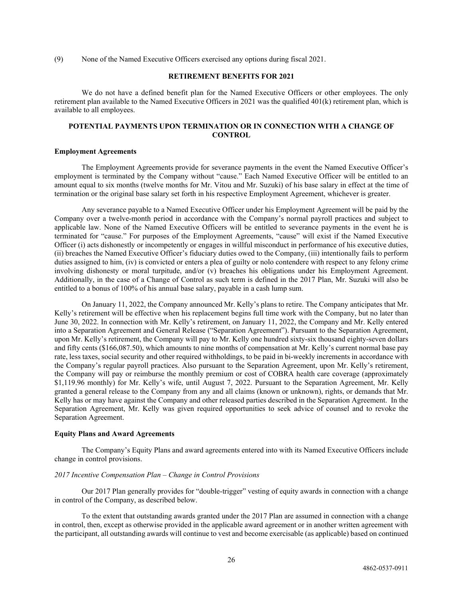(9) None of the Named Executive Officers exercised any options during fiscal 2021.

## **RETIREMENT BENEFITS FOR 2021**

We do not have a defined benefit plan for the Named Executive Officers or other employees. The only retirement plan available to the Named Executive Officers in 2021 was the qualified 401(k) retirement plan, which is available to all employees.

# **POTENTIAL PAYMENTS UPON TERMINATION OR IN CONNECTION WITH A CHANGE OF CONTROL**

#### **Employment Agreements**

The Employment Agreements provide for severance payments in the event the Named Executive Officer's employment is terminated by the Company without "cause." Each Named Executive Officer will be entitled to an amount equal to six months (twelve months for Mr. Vitou and Mr. Suzuki) of his base salary in effect at the time of termination or the original base salary set forth in his respective Employment Agreement, whichever is greater.

Any severance payable to a Named Executive Officer under his Employment Agreement will be paid by the Company over a twelve-month period in accordance with the Company's normal payroll practices and subject to applicable law. None of the Named Executive Officers will be entitled to severance payments in the event he is terminated for "cause." For purposes of the Employment Agreements, "cause" will exist if the Named Executive Officer (i) acts dishonestly or incompetently or engages in willful misconduct in performance of his executive duties, (ii) breaches the Named Executive Officer's fiduciary duties owed to the Company, (iii) intentionally fails to perform duties assigned to him, (iv) is convicted or enters a plea of guilty or nolo contendere with respect to any felony crime involving dishonesty or moral turpitude, and/or (v) breaches his obligations under his Employment Agreement. Additionally, in the case of a Change of Control as such term is defined in the 2017 Plan, Mr. Suzuki will also be entitled to a bonus of 100% of his annual base salary, payable in a cash lump sum.

On January 11, 2022, the Company announced Mr. Kelly's plans to retire. The Company anticipates that Mr. Kelly's retirement will be effective when his replacement begins full time work with the Company, but no later than June 30, 2022. In connection with Mr. Kelly's retirement, on January 11, 2022, the Company and Mr. Kelly entered into a Separation Agreement and General Release ("Separation Agreement"). Pursuant to the Separation Agreement, upon Mr. Kelly's retirement, the Company will pay to Mr. Kelly one hundred sixty-six thousand eighty-seven dollars and fifty cents (\$166,087.50), which amounts to nine months of compensation at Mr. Kelly's current normal base pay rate, less taxes, social security and other required withholdings, to be paid in bi-weekly increments in accordance with the Company's regular payroll practices. Also pursuant to the Separation Agreement, upon Mr. Kelly's retirement, the Company will pay or reimburse the monthly premium or cost of COBRA health care coverage (approximately \$1,119.96 monthly) for Mr. Kelly's wife, until August 7, 2022. Pursuant to the Separation Agreement, Mr. Kelly granted a general release to the Company from any and all claims (known or unknown), rights, or demands that Mr. Kelly has or may have against the Company and other released parties described in the Separation Agreement. In the Separation Agreement, Mr. Kelly was given required opportunities to seek advice of counsel and to revoke the Separation Agreement.

#### **Equity Plans and Award Agreements**

The Company's Equity Plans and award agreements entered into with its Named Executive Officers include change in control provisions.

# *2017 Incentive Compensation Plan – Change in Control Provisions*

Our 2017 Plan generally provides for "double-trigger" vesting of equity awards in connection with a change in control of the Company, as described below.

To the extent that outstanding awards granted under the 2017 Plan are assumed in connection with a change in control, then, except as otherwise provided in the applicable award agreement or in another written agreement with the participant, all outstanding awards will continue to vest and become exercisable (as applicable) based on continued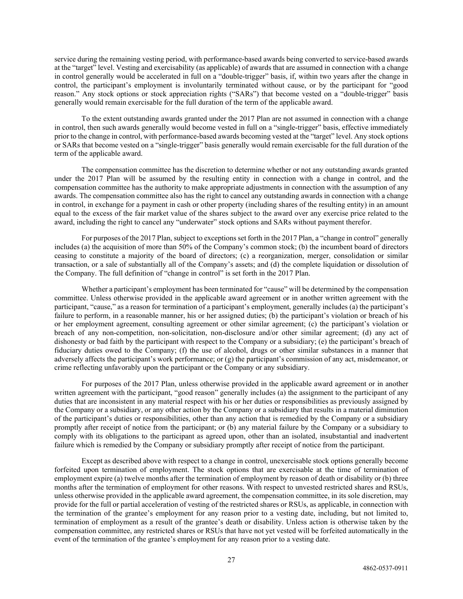service during the remaining vesting period, with performance-based awards being converted to service-based awards at the "target" level. Vesting and exercisability (as applicable) of awards that are assumed in connection with a change in control generally would be accelerated in full on a "double-trigger" basis, if, within two years after the change in control, the participant's employment is involuntarily terminated without cause, or by the participant for "good reason." Any stock options or stock appreciation rights ("SARs") that become vested on a "double-trigger" basis generally would remain exercisable for the full duration of the term of the applicable award.

To the extent outstanding awards granted under the 2017 Plan are not assumed in connection with a change in control, then such awards generally would become vested in full on a "single-trigger" basis, effective immediately prior to the change in control, with performance-based awards becoming vested at the "target" level. Any stock options or SARs that become vested on a "single-trigger" basis generally would remain exercisable for the full duration of the term of the applicable award.

The compensation committee has the discretion to determine whether or not any outstanding awards granted under the 2017 Plan will be assumed by the resulting entity in connection with a change in control, and the compensation committee has the authority to make appropriate adjustments in connection with the assumption of any awards. The compensation committee also has the right to cancel any outstanding awards in connection with a change in control, in exchange for a payment in cash or other property (including shares of the resulting entity) in an amount equal to the excess of the fair market value of the shares subject to the award over any exercise price related to the award, including the right to cancel any "underwater" stock options and SARs without payment therefor.

For purposes of the 2017 Plan, subject to exceptions set forth in the 2017 Plan, a "change in control" generally includes (a) the acquisition of more than 50% of the Company's common stock; (b) the incumbent board of directors ceasing to constitute a majority of the board of directors; (c) a reorganization, merger, consolidation or similar transaction, or a sale of substantially all of the Company's assets; and (d) the complete liquidation or dissolution of the Company. The full definition of "change in control" is set forth in the 2017 Plan.

Whether a participant's employment has been terminated for "cause" will be determined by the compensation committee. Unless otherwise provided in the applicable award agreement or in another written agreement with the participant, "cause," as a reason for termination of a participant's employment, generally includes (a) the participant's failure to perform, in a reasonable manner, his or her assigned duties; (b) the participant's violation or breach of his or her employment agreement, consulting agreement or other similar agreement; (c) the participant's violation or breach of any non-competition, non-solicitation, non-disclosure and/or other similar agreement; (d) any act of dishonesty or bad faith by the participant with respect to the Company or a subsidiary; (e) the participant's breach of fiduciary duties owed to the Company; (f) the use of alcohol, drugs or other similar substances in a manner that adversely affects the participant's work performance; or (g) the participant's commission of any act, misdemeanor, or crime reflecting unfavorably upon the participant or the Company or any subsidiary.

For purposes of the 2017 Plan, unless otherwise provided in the applicable award agreement or in another written agreement with the participant, "good reason" generally includes (a) the assignment to the participant of any duties that are inconsistent in any material respect with his or her duties or responsibilities as previously assigned by the Company or a subsidiary, or any other action by the Company or a subsidiary that results in a material diminution of the participant's duties or responsibilities, other than any action that is remedied by the Company or a subsidiary promptly after receipt of notice from the participant; or (b) any material failure by the Company or a subsidiary to comply with its obligations to the participant as agreed upon, other than an isolated, insubstantial and inadvertent failure which is remedied by the Company or subsidiary promptly after receipt of notice from the participant.

Except as described above with respect to a change in control, unexercisable stock options generally become forfeited upon termination of employment. The stock options that are exercisable at the time of termination of employment expire (a) twelve months after the termination of employment by reason of death or disability or (b) three months after the termination of employment for other reasons. With respect to unvested restricted shares and RSUs, unless otherwise provided in the applicable award agreement, the compensation committee, in its sole discretion, may provide for the full or partial acceleration of vesting of the restricted shares or RSUs, as applicable, in connection with the termination of the grantee's employment for any reason prior to a vesting date, including, but not limited to, termination of employment as a result of the grantee's death or disability. Unless action is otherwise taken by the compensation committee, any restricted shares or RSUs that have not yet vested will be forfeited automatically in the event of the termination of the grantee's employment for any reason prior to a vesting date.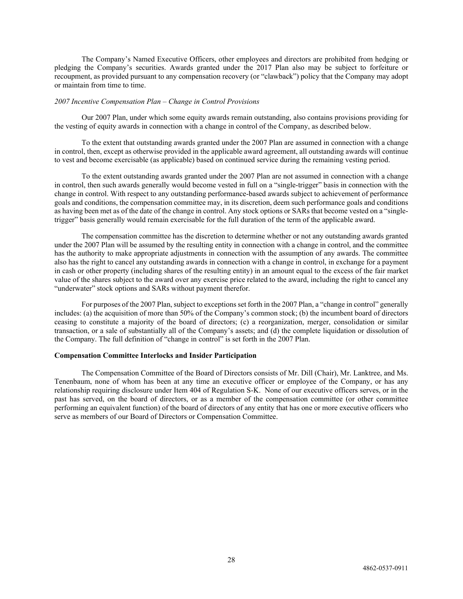The Company's Named Executive Officers, other employees and directors are prohibited from hedging or pledging the Company's securities. Awards granted under the 2017 Plan also may be subject to forfeiture or recoupment, as provided pursuant to any compensation recovery (or "clawback") policy that the Company may adopt or maintain from time to time.

#### *2007 Incentive Compensation Plan – Change in Control Provisions*

Our 2007 Plan, under which some equity awards remain outstanding, also contains provisions providing for the vesting of equity awards in connection with a change in control of the Company, as described below.

To the extent that outstanding awards granted under the 2007 Plan are assumed in connection with a change in control, then, except as otherwise provided in the applicable award agreement, all outstanding awards will continue to vest and become exercisable (as applicable) based on continued service during the remaining vesting period.

To the extent outstanding awards granted under the 2007 Plan are not assumed in connection with a change in control, then such awards generally would become vested in full on a "single-trigger" basis in connection with the change in control. With respect to any outstanding performance-based awards subject to achievement of performance goals and conditions, the compensation committee may, in its discretion, deem such performance goals and conditions as having been met as of the date of the change in control. Any stock options or SARs that become vested on a "singletrigger" basis generally would remain exercisable for the full duration of the term of the applicable award.

The compensation committee has the discretion to determine whether or not any outstanding awards granted under the 2007 Plan will be assumed by the resulting entity in connection with a change in control, and the committee has the authority to make appropriate adjustments in connection with the assumption of any awards. The committee also has the right to cancel any outstanding awards in connection with a change in control, in exchange for a payment in cash or other property (including shares of the resulting entity) in an amount equal to the excess of the fair market value of the shares subject to the award over any exercise price related to the award, including the right to cancel any "underwater" stock options and SARs without payment therefor.

For purposes of the 2007 Plan, subject to exceptions set forth in the 2007 Plan, a "change in control" generally includes: (a) the acquisition of more than 50% of the Company's common stock; (b) the incumbent board of directors ceasing to constitute a majority of the board of directors; (c) a reorganization, merger, consolidation or similar transaction, or a sale of substantially all of the Company's assets; and (d) the complete liquidation or dissolution of the Company. The full definition of "change in control" is set forth in the 2007 Plan.

#### **Compensation Committee Interlocks and Insider Participation**

The Compensation Committee of the Board of Directors consists of Mr. Dill (Chair), Mr. Lanktree, and Ms. Tenenbaum, none of whom has been at any time an executive officer or employee of the Company, or has any relationship requiring disclosure under Item 404 of Regulation S-K. None of our executive officers serves, or in the past has served, on the board of directors, or as a member of the compensation committee (or other committee performing an equivalent function) of the board of directors of any entity that has one or more executive officers who serve as members of our Board of Directors or Compensation Committee.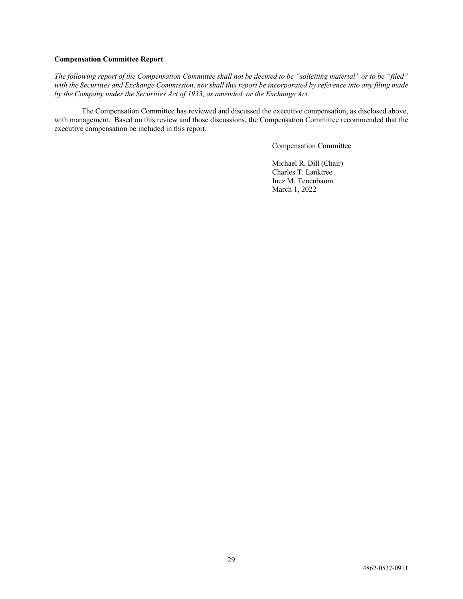## **Compensation Committee Report**

*The following report of the Compensation Committee shall not be deemed to be "soliciting material" or to be "filed" with the Securities and Exchange Commission, nor shall this report be incorporated by reference into any filing made by the Company under the Securities Act of 1933, as amended, or the Exchange Act.*

The Compensation Committee has reviewed and discussed the executive compensation, as disclosed above, with management. Based on this review and those discussions, the Compensation Committee recommended that the executive compensation be included in this report.

Compensation Committee

Michael R. Dill (Chair) Charles T. Lanktree Inez M. Tenenbaum March 1, 2022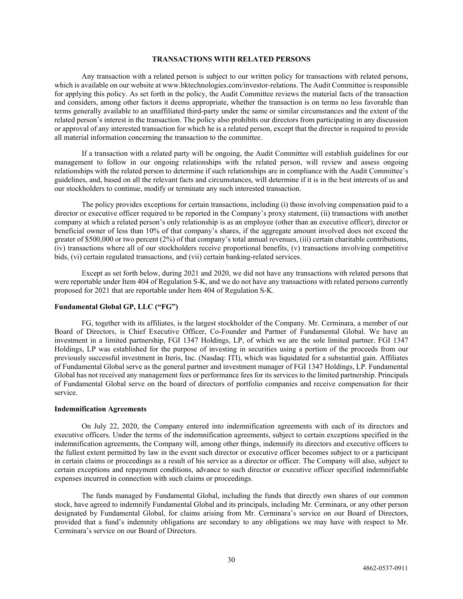## <span id="page-35-0"></span>**TRANSACTIONS WITH RELATED PERSONS**

Any transaction with a related person is subject to our written policy for transactions with related persons, which is available on our website at www.bktechnologies.com/investor-relations. The Audit Committee is responsible for applying this policy. As set forth in the policy, the Audit Committee reviews the material facts of the transaction and considers, among other factors it deems appropriate, whether the transaction is on terms no less favorable than terms generally available to an unaffiliated third-party under the same or similar circumstances and the extent of the related person's interest in the transaction. The policy also prohibits our directors from participating in any discussion or approval of any interested transaction for which he is a related person, except that the director is required to provide all material information concerning the transaction to the committee.

If a transaction with a related party will be ongoing, the Audit Committee will establish guidelines for our management to follow in our ongoing relationships with the related person, will review and assess ongoing relationships with the related person to determine if such relationships are in compliance with the Audit Committee's guidelines, and, based on all the relevant facts and circumstances, will determine if it is in the best interests of us and our stockholders to continue, modify or terminate any such interested transaction.

The policy provides exceptions for certain transactions, including (i) those involving compensation paid to a director or executive officer required to be reported in the Company's proxy statement, (ii) transactions with another company at which a related person's only relationship is as an employee (other than an executive officer), director or beneficial owner of less than 10% of that company's shares, if the aggregate amount involved does not exceed the greater of \$500,000 or two percent (2%) of that company's total annual revenues, (iii) certain charitable contributions, (iv) transactions where all of our stockholders receive proportional benefits, (v) transactions involving competitive bids, (vi) certain regulated transactions, and (vii) certain banking-related services.

Except as set forth below, during 2021 and 2020, we did not have any transactions with related persons that were reportable under Item 404 of Regulation S-K, and we do not have any transactions with related persons currently proposed for 2021 that are reportable under Item 404 of Regulation S-K.

#### **Fundamental Global GP, LLC ("FG")**

FG, together with its affiliates, is the largest stockholder of the Company. Mr. Cerminara, a member of our Board of Directors, is Chief Executive Officer, Co-Founder and Partner of Fundamental Global. We have an investment in a limited partnership, FGI 1347 Holdings, LP, of which we are the sole limited partner. FGI 1347 Holdings, LP was established for the purpose of investing in securities using a portion of the proceeds from our previously successful investment in Iteris, Inc. (Nasdaq: ITI), which was liquidated for a substantial gain. Affiliates of Fundamental Global serve as the general partner and investment manager of FGI 1347 Holdings, LP. Fundamental Global has not received any management fees or performance fees for its services to the limited partnership. Principals of Fundamental Global serve on the board of directors of portfolio companies and receive compensation for their service.

#### **Indemnification Agreements**

On July 22, 2020, the Company entered into indemnification agreements with each of its directors and executive officers. Under the terms of the indemnification agreements, subject to certain exceptions specified in the indemnification agreements, the Company will, among other things, indemnify its directors and executive officers to the fullest extent permitted by law in the event such director or executive officer becomes subject to or a participant in certain claims or proceedings as a result of his service as a director or officer. The Company will also, subject to certain exceptions and repayment conditions, advance to such director or executive officer specified indemnifiable expenses incurred in connection with such claims or proceedings.

The funds managed by Fundamental Global, including the funds that directly own shares of our common stock, have agreed to indemnify Fundamental Global and its principals, including Mr. Cerminara, or any other person designated by Fundamental Global, for claims arising from Mr. Cerminara's service on our Board of Directors, provided that a fund's indemnity obligations are secondary to any obligations we may have with respect to Mr. Cerminara's service on our Board of Directors.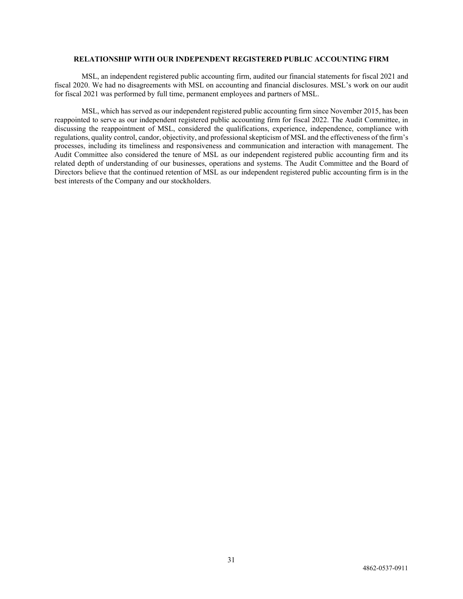# <span id="page-36-0"></span>**RELATIONSHIP WITH OUR INDEPENDENT REGISTERED PUBLIC ACCOUNTING FIRM**

MSL, an independent registered public accounting firm, audited our financial statements for fiscal 2021 and fiscal 2020. We had no disagreements with MSL on accounting and financial disclosures. MSL's work on our audit for fiscal 2021 was performed by full time, permanent employees and partners of MSL.

MSL, which has served as our independent registered public accounting firm since November 2015, has been reappointed to serve as our independent registered public accounting firm for fiscal 2022. The Audit Committee, in discussing the reappointment of MSL, considered the qualifications, experience, independence, compliance with regulations, quality control, candor, objectivity, and professional skepticism of MSL and the effectiveness of the firm's processes, including its timeliness and responsiveness and communication and interaction with management. The Audit Committee also considered the tenure of MSL as our independent registered public accounting firm and its related depth of understanding of our businesses, operations and systems. The Audit Committee and the Board of Directors believe that the continued retention of MSL as our independent registered public accounting firm is in the best interests of the Company and our stockholders.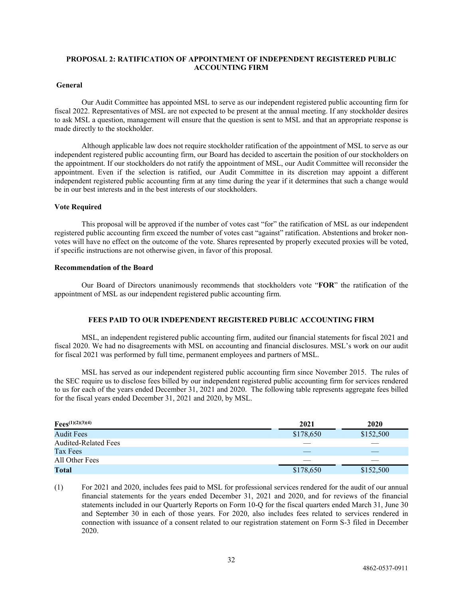# <span id="page-37-0"></span>**PROPOSAL 2: RATIFICATION OF APPOINTMENT OF INDEPENDENT REGISTERED PUBLIC ACCOUNTING FIRM**

# **General**

Our Audit Committee has appointed MSL to serve as our independent registered public accounting firm for fiscal 2022. Representatives of MSL are not expected to be present at the annual meeting. If any stockholder desires to ask MSL a question, management will ensure that the question is sent to MSL and that an appropriate response is made directly to the stockholder.

Although applicable law does not require stockholder ratification of the appointment of MSL to serve as our independent registered public accounting firm, our Board has decided to ascertain the position of our stockholders on the appointment. If our stockholders do not ratify the appointment of MSL, our Audit Committee will reconsider the appointment. Even if the selection is ratified, our Audit Committee in its discretion may appoint a different independent registered public accounting firm at any time during the year if it determines that such a change would be in our best interests and in the best interests of our stockholders.

#### **Vote Required**

This proposal will be approved if the number of votes cast "for" the ratification of MSL as our independent registered public accounting firm exceed the number of votes cast "against" ratification. Abstentions and broker nonvotes will have no effect on the outcome of the vote. Shares represented by properly executed proxies will be voted, if specific instructions are not otherwise given, in favor of this proposal.

#### **Recommendation of the Board**

Our Board of Directors unanimously recommends that stockholders vote "**FOR**" the ratification of the appointment of MSL as our independent registered public accounting firm.

# <span id="page-37-1"></span>**FEES PAID TO OUR INDEPENDENT REGISTERED PUBLIC ACCOUNTING FIRM**

MSL, an independent registered public accounting firm, audited our financial statements for fiscal 2021 and fiscal 2020. We had no disagreements with MSL on accounting and financial disclosures. MSL's work on our audit for fiscal 2021 was performed by full time, permanent employees and partners of MSL.

MSL has served as our independent registered public accounting firm since November 2015. The rules of the SEC require us to disclose fees billed by our independent registered public accounting firm for services rendered to us for each of the years ended December 31, 2021 and 2020. The following table represents aggregate fees billed for the fiscal years ended December 31, 2021 and 2020, by MSL.

| $Fees^{(1)(2)(3)(4)}$       | 2021      | 2020      |
|-----------------------------|-----------|-----------|
| <b>Audit Fees</b>           | \$178,650 | \$152,500 |
| <b>Audited-Related Fees</b> |           |           |
| Tax Fees                    |           |           |
| All Other Fees              |           |           |
| Total                       | \$178,650 | \$152,500 |

(1) For 2021 and 2020, includes fees paid to MSL for professional services rendered for the audit of our annual financial statements for the years ended December 31, 2021 and 2020, and for reviews of the financial statements included in our Quarterly Reports on Form 10-Q for the fiscal quarters ended March 31, June 30 and September 30 in each of those years. For 2020, also includes fees related to services rendered in connection with issuance of a consent related to our registration statement on Form S-3 filed in December 2020.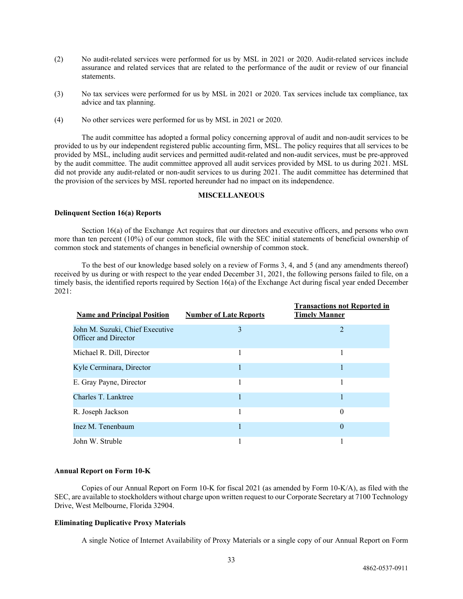- (2) No audit-related services were performed for us by MSL in 2021 or 2020. Audit-related services include assurance and related services that are related to the performance of the audit or review of our financial statements.
- (3) No tax services were performed for us by MSL in 2021 or 2020. Tax services include tax compliance, tax advice and tax planning.
- (4) No other services were performed for us by MSL in 2021 or 2020.

The audit committee has adopted a formal policy concerning approval of audit and non-audit services to be provided to us by our independent registered public accounting firm, MSL. The policy requires that all services to be provided by MSL, including audit services and permitted audit-related and non-audit services, must be pre-approved by the audit committee. The audit committee approved all audit services provided by MSL to us during 2021. MSL did not provide any audit-related or non-audit services to us during 2021. The audit committee has determined that the provision of the services by MSL reported hereunder had no impact on its independence.

#### <span id="page-38-0"></span>**MISCELLANEOUS**

#### **Delinquent Section 16(a) Reports**

Section 16(a) of the Exchange Act requires that our directors and executive officers, and persons who own more than ten percent (10%) of our common stock, file with the SEC initial statements of beneficial ownership of common stock and statements of changes in beneficial ownership of common stock.

To the best of our knowledge based solely on a review of Forms 3, 4, and 5 (and any amendments thereof) received by us during or with respect to the year ended December 31, 2021, the following persons failed to file, on a timely basis, the identified reports required by Section 16(a) of the Exchange Act during fiscal year ended December 2021:

| <b>Name and Principal Position</b>                      | <b>Number of Late Reports</b> | <b>Transactions not Reported in</b><br><b>Timely Manner</b> |
|---------------------------------------------------------|-------------------------------|-------------------------------------------------------------|
| John M. Suzuki, Chief Executive<br>Officer and Director | 3                             | 2                                                           |
| Michael R. Dill, Director                               | <b>I</b>                      |                                                             |
| Kyle Cerminara, Director                                | 1                             |                                                             |
| E. Gray Payne, Director                                 |                               |                                                             |
| Charles T. Lanktree                                     |                               |                                                             |
| R. Joseph Jackson                                       |                               | 0                                                           |
| Inez M. Tenenbaum                                       |                               | $\theta$                                                    |
| John W. Struble                                         |                               |                                                             |

#### **Annual Report on Form 10-K**

Copies of our Annual Report on Form 10-K for fiscal 2021 (as amended by Form 10-K/A), as filed with the SEC, are available to stockholders without charge upon written request to our Corporate Secretary at 7100 Technology Drive, West Melbourne, Florida 32904.

#### **Eliminating Duplicative Proxy Materials**

A single Notice of Internet Availability of Proxy Materials or a single copy of our Annual Report on Form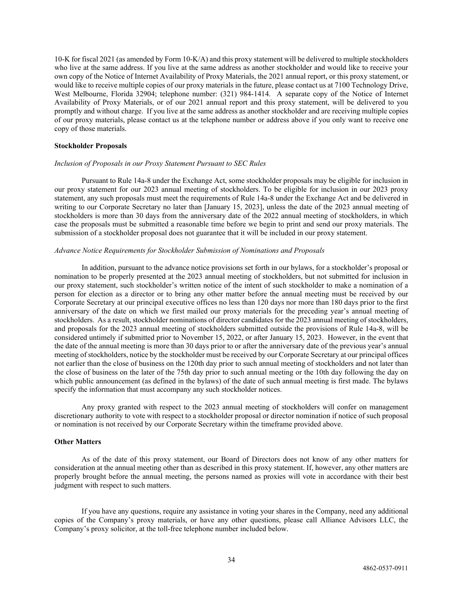10-K for fiscal 2021 (as amended by Form 10-K/A) and this proxy statement will be delivered to multiple stockholders who live at the same address. If you live at the same address as another stockholder and would like to receive your own copy of the Notice of Internet Availability of Proxy Materials, the 2021 annual report, or this proxy statement, or would like to receive multiple copies of our proxy materials in the future, please contact us at 7100 Technology Drive, West Melbourne, Florida 32904; telephone number: (321) 984-1414. A separate copy of the Notice of Internet Availability of Proxy Materials, or of our 2021 annual report and this proxy statement, will be delivered to you promptly and without charge. If you live at the same address as another stockholder and are receiving multiple copies of our proxy materials, please contact us at the telephone number or address above if you only want to receive one copy of those materials.

#### **Stockholder Proposals**

#### *Inclusion of Proposals in our Proxy Statement Pursuant to SEC Rules*

Pursuant to Rule 14a-8 under the Exchange Act, some stockholder proposals may be eligible for inclusion in our proxy statement for our 2023 annual meeting of stockholders. To be eligible for inclusion in our 2023 proxy statement, any such proposals must meet the requirements of Rule 14a-8 under the Exchange Act and be delivered in writing to our Corporate Secretary no later than [January 15, 2023], unless the date of the 2023 annual meeting of stockholders is more than 30 days from the anniversary date of the 2022 annual meeting of stockholders, in which case the proposals must be submitted a reasonable time before we begin to print and send our proxy materials. The submission of a stockholder proposal does not guarantee that it will be included in our proxy statement.

## *Advance Notice Requirements for Stockholder Submission of Nominations and Proposals*

In addition, pursuant to the advance notice provisions set forth in our bylaws, for a stockholder's proposal or nomination to be properly presented at the 2023 annual meeting of stockholders, but not submitted for inclusion in our proxy statement, such stockholder's written notice of the intent of such stockholder to make a nomination of a person for election as a director or to bring any other matter before the annual meeting must be received by our Corporate Secretary at our principal executive offices no less than 120 days nor more than 180 days prior to the first anniversary of the date on which we first mailed our proxy materials for the preceding year's annual meeting of stockholders. As a result, stockholder nominations of director candidates for the 2023 annual meeting of stockholders, and proposals for the 2023 annual meeting of stockholders submitted outside the provisions of Rule 14a-8, will be considered untimely if submitted prior to November 15, 2022, or after January 15, 2023. However, in the event that the date of the annual meeting is more than 30 days prior to or after the anniversary date of the previous year's annual meeting of stockholders, notice by the stockholder must be received by our Corporate Secretary at our principal offices not earlier than the close of business on the 120th day prior to such annual meeting of stockholders and not later than the close of business on the later of the 75th day prior to such annual meeting or the 10th day following the day on which public announcement (as defined in the bylaws) of the date of such annual meeting is first made. The bylaws specify the information that must accompany any such stockholder notices.

Any proxy granted with respect to the 2023 annual meeting of stockholders will confer on management discretionary authority to vote with respect to a stockholder proposal or director nomination if notice of such proposal or nomination is not received by our Corporate Secretary within the timeframe provided above.

#### **Other Matters**

As of the date of this proxy statement, our Board of Directors does not know of any other matters for consideration at the annual meeting other than as described in this proxy statement. If, however, any other matters are properly brought before the annual meeting, the persons named as proxies will vote in accordance with their best judgment with respect to such matters.

If you have any questions, require any assistance in voting your shares in the Company, need any additional copies of the Company's proxy materials, or have any other questions, please call Alliance Advisors LLC, the Company's proxy solicitor, at the toll-free telephone number included below.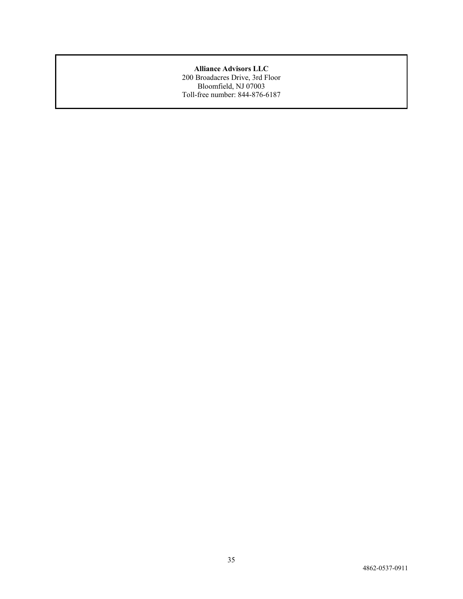# **Alliance Advisors LLC**

200 Broadacres Drive, 3rd Floor Bloomfield, NJ 07003 Toll-free number: 844-876-6187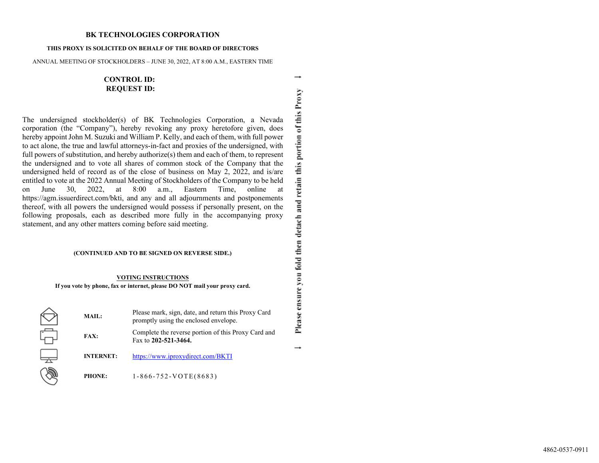#### **BK TECHNOLOGIES CORPORATION**

#### **THIS PROXY IS SOLICITED ON BEHALF OF THE BOARD OF DIRECTORS**

ANNUAL MEETING OF STOCKHOLDERS – JUNE 30, 2022, AT 8:00 A.M., EASTERN TIME

# **CONTROL ID: REQUEST ID:**

The undersigned stockholder(s) of BK Technologies Corporation, a Nevada corporation (the "Company"), hereby revoking any proxy heretofore given, does hereby appoint John M. Suzuki and William P. Kelly, and each of them, with full power to act alone, the true and lawful attorneys-in-fact and proxies of the undersigned, with full powers of substitution, and hereby authorize(s) them and each of them, to represent the undersigned and to vote all shares of common stock of the Company that the undersigned held of record as of the close of business on May 2, 2022, and is/are entitled to vote at the 2022 Annual Meeting of Stockholders of the Company to be held on June 30, 2022, at 8:00 a.m., Eastern Time, online at https://agm.issuerdirect.com/bkti, and any and all adjournments and postponements thereof, with all powers the undersigned would possess if personally present, on the following proposals, each as described more fully in the accompanying proxy statement, and any other matters coming before said meeting.

#### **(CONTINUED AND TO BE SIGNED ON REVERSE SIDE.)**

#### **VOTING INSTRUCTIONS**

**If you vote by phone, fax or internet, please DO NOT mail your proxy card.**

| MAIL:            | Please mark, sign, date, and return this Proxy Card<br>promptly using the enclosed envelope. |
|------------------|----------------------------------------------------------------------------------------------|
| <b>FAX:</b>      | Complete the reverse portion of this Proxy Card and<br>Fax to 202-521-3464.                  |
| <b>INTERNET:</b> | https://www.iproxydirect.com/BKTI                                                            |
| <b>PHONE:</b>    | $1-866-752-VOTE(8683)$                                                                       |

Please ensure you fold then detach and retain this portion of this Proxy  $\rightarrow$